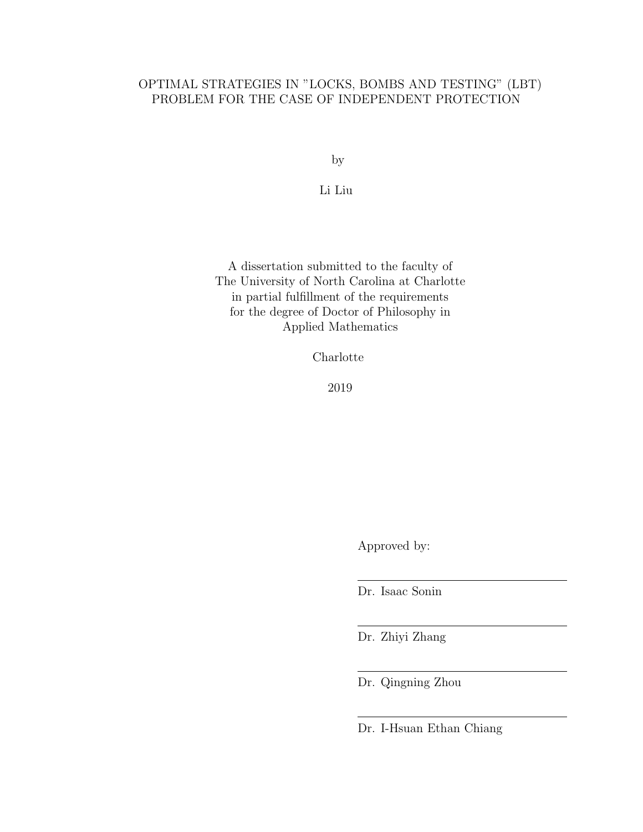# OPTIMAL STRATEGIES IN "LOCKS, BOMBS AND TESTING" (LBT) PROBLEM FOR THE CASE OF INDEPENDENT PROTECTION

by

Li Liu

A dissertation submitted to the faculty of The University of North Carolina at Charlotte in partial fulfillment of the requirements for the degree of Doctor of Philosophy in Applied Mathematics

Charlotte

2019

Approved by:

Dr. Isaac Sonin

Dr. Zhiyi Zhang

Dr. Qingning Zhou

Dr. I-Hsuan Ethan Chiang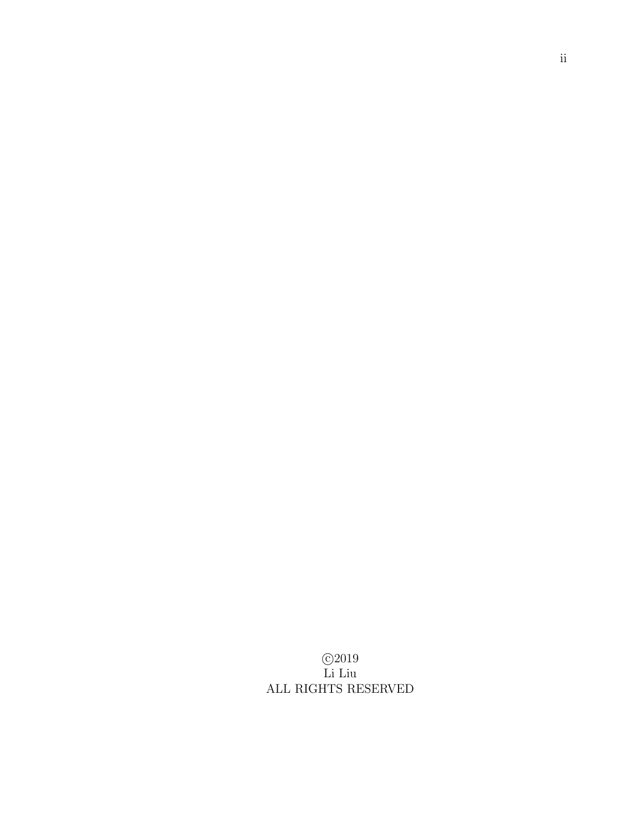c 2019 Li Liu ALL RIGHTS RESERVED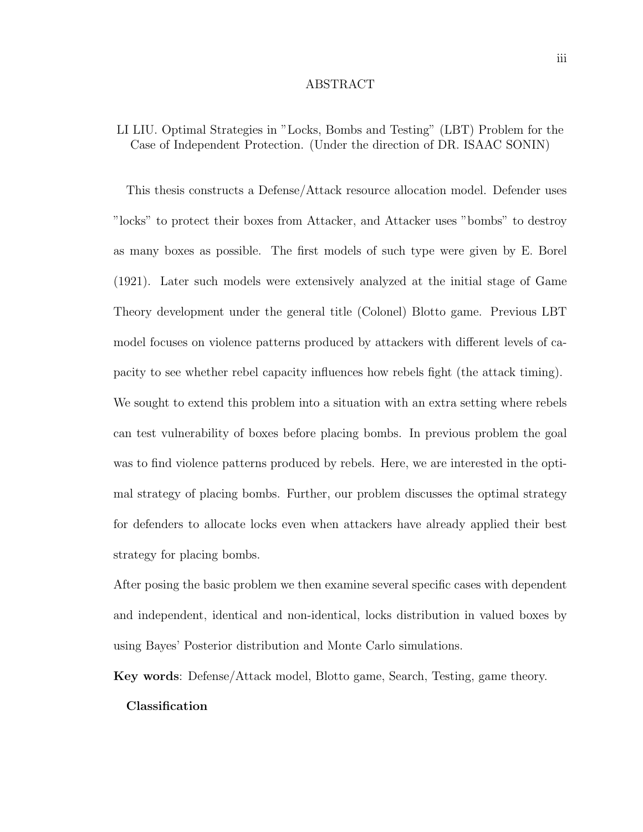#### ABSTRACT

# LI LIU. Optimal Strategies in "Locks, Bombs and Testing" (LBT) Problem for the Case of Independent Protection. (Under the direction of DR. ISAAC SONIN)

This thesis constructs a Defense/Attack resource allocation model. Defender uses "locks" to protect their boxes from Attacker, and Attacker uses "bombs" to destroy as many boxes as possible. The first models of such type were given by E. Borel (1921). Later such models were extensively analyzed at the initial stage of Game Theory development under the general title (Colonel) Blotto game. Previous LBT model focuses on violence patterns produced by attackers with different levels of capacity to see whether rebel capacity influences how rebels fight (the attack timing). We sought to extend this problem into a situation with an extra setting where rebels

can test vulnerability of boxes before placing bombs. In previous problem the goal was to find violence patterns produced by rebels. Here, we are interested in the optimal strategy of placing bombs. Further, our problem discusses the optimal strategy for defenders to allocate locks even when attackers have already applied their best strategy for placing bombs.

After posing the basic problem we then examine several specific cases with dependent and independent, identical and non-identical, locks distribution in valued boxes by using Bayes' Posterior distribution and Monte Carlo simulations.

Key words: Defense/Attack model, Blotto game, Search, Testing, game theory.

#### Classification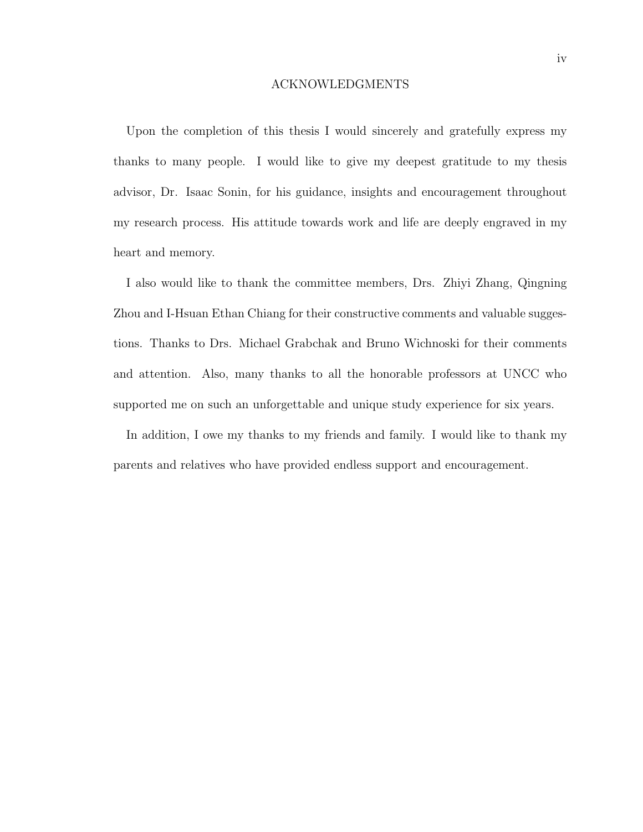#### ACKNOWLEDGMENTS

Upon the completion of this thesis I would sincerely and gratefully express my thanks to many people. I would like to give my deepest gratitude to my thesis advisor, Dr. Isaac Sonin, for his guidance, insights and encouragement throughout my research process. His attitude towards work and life are deeply engraved in my heart and memory.

I also would like to thank the committee members, Drs. Zhiyi Zhang, Qingning Zhou and I-Hsuan Ethan Chiang for their constructive comments and valuable suggestions. Thanks to Drs. Michael Grabchak and Bruno Wichnoski for their comments and attention. Also, many thanks to all the honorable professors at UNCC who supported me on such an unforgettable and unique study experience for six years.

In addition, I owe my thanks to my friends and family. I would like to thank my parents and relatives who have provided endless support and encouragement.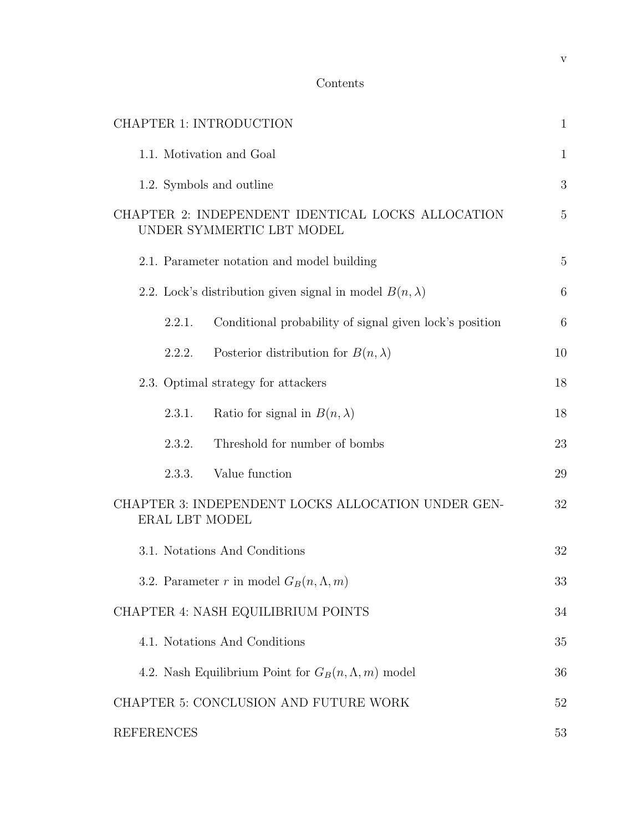| <b>CHAPTER 1: INTRODUCTION</b>                                                 | $\mathbf{1}$    |
|--------------------------------------------------------------------------------|-----------------|
| 1.1. Motivation and Goal                                                       | $\mathbf{1}$    |
| 1.2. Symbols and outline                                                       | 3               |
| CHAPTER 2: INDEPENDENT IDENTICAL LOCKS ALLOCATION<br>UNDER SYMMERTIC LBT MODEL | $\overline{5}$  |
| 2.1. Parameter notation and model building                                     | $\overline{5}$  |
| 2.2. Lock's distribution given signal in model $B(n, \lambda)$                 | $6\phantom{.}6$ |
| Conditional probability of signal given lock's position<br>2.2.1.              | $6\phantom{.}6$ |
| Posterior distribution for $B(n, \lambda)$<br>2.2.2.                           | 10              |
| 2.3. Optimal strategy for attackers                                            | 18              |
| Ratio for signal in $B(n, \lambda)$<br>2.3.1.                                  | 18              |
| Threshold for number of bombs<br>2.3.2.                                        | 23              |
| Value function<br>2.3.3.                                                       | 29              |
| CHAPTER 3: INDEPENDENT LOCKS ALLOCATION UNDER GEN-<br>ERAL LBT MODEL           | 32              |
| 3.1. Notations And Conditions                                                  | 32              |
| 3.2. Parameter r in model $G_B(n, \Lambda, m)$                                 | 33              |
| CHAPTER 4: NASH EQUILIBRIUM POINTS                                             | 34              |
| 4.1. Notations And Conditions                                                  | 35              |
| 4.2. Nash Equilibrium Point for $G_B(n, \Lambda, m)$ model                     | 36              |
| CHAPTER 5: CONCLUSION AND FUTURE WORK                                          | 52              |
| <b>REFERENCES</b>                                                              | 53              |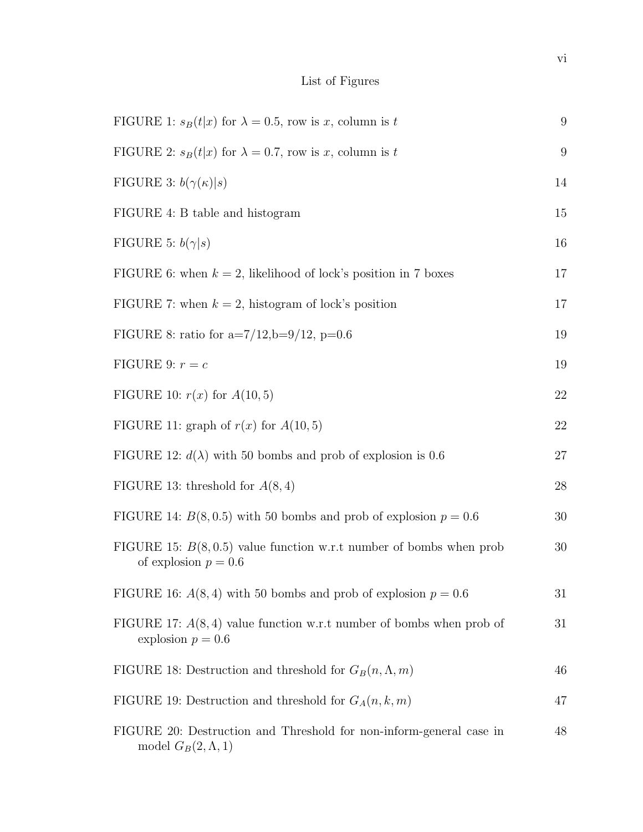# List of Figures

| FIGURE 1: $s_B(t x)$ for $\lambda = 0.5$ , row is x, column is t                                | 9  |
|-------------------------------------------------------------------------------------------------|----|
| FIGURE 2: $s_B(t x)$ for $\lambda = 0.7$ , row is x, column is t                                | 9  |
| FIGURE 3: $b(\gamma(\kappa) s)$                                                                 | 14 |
| FIGURE 4: B table and histogram                                                                 | 15 |
| FIGURE 5: $b(\gamma s)$                                                                         | 16 |
| FIGURE 6: when $k = 2$ , likelihood of lock's position in 7 boxes                               | 17 |
| FIGURE 7: when $k = 2$ , histogram of lock's position                                           | 17 |
| FIGURE 8: ratio for a=7/12,b=9/12, p=0.6                                                        | 19 |
| FIGURE 9: $r = c$                                                                               | 19 |
| FIGURE 10: $r(x)$ for $A(10,5)$                                                                 | 22 |
| FIGURE 11: graph of $r(x)$ for $A(10,5)$                                                        | 22 |
| FIGURE 12: $d(\lambda)$ with 50 bombs and prob of explosion is 0.6                              | 27 |
| FIGURE 13: threshold for $A(8, 4)$                                                              | 28 |
| FIGURE 14: $B(8, 0.5)$ with 50 bombs and prob of explosion $p = 0.6$                            | 30 |
| FIGURE 15: $B(8, 0.5)$ value function w.r.t number of bombs when prob<br>of explosion $p = 0.6$ | 30 |
| FIGURE 16: $A(8,4)$ with 50 bombs and prob of explosion $p = 0.6$                               | 31 |
| FIGURE 17: $A(8, 4)$ value function w.r.t number of bombs when prob of<br>explosion $p = 0.6$   | 31 |
| FIGURE 18: Destruction and threshold for $G_B(n, \Lambda, m)$                                   | 46 |
| FIGURE 19: Destruction and threshold for $G_A(n, k, m)$                                         | 47 |
| FIGURE 20: Destruction and Threshold for non-inform-general case in<br>model $G_B(2,\Lambda,1)$ | 48 |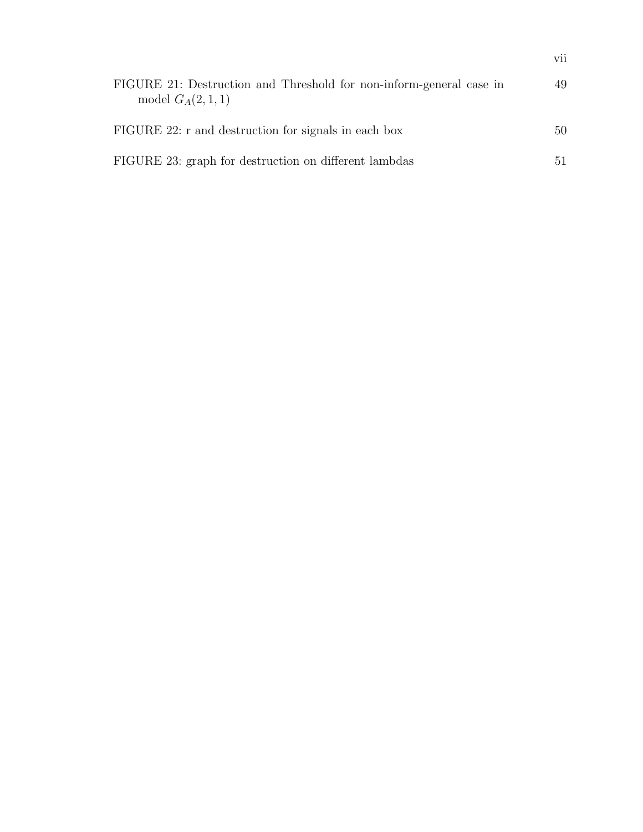|                                                                                           | vii |
|-------------------------------------------------------------------------------------------|-----|
| FIGURE 21: Destruction and Threshold for non-inform-general case in<br>model $G_A(2,1,1)$ | 49  |
| FIGURE 22: r and destruction for signals in each box                                      | 50  |
| FIGURE 23: graph for destruction on different lambdas                                     | 51. |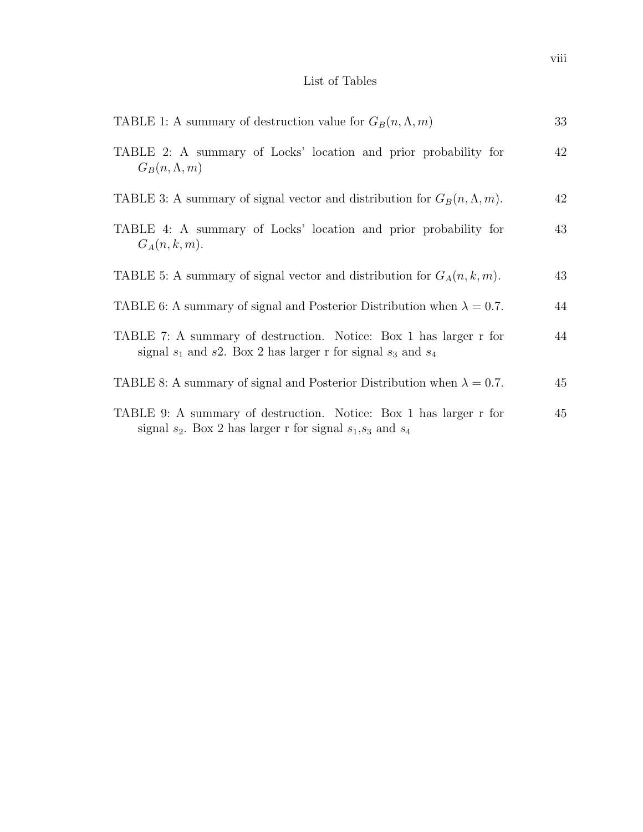# List of Tables

| TABLE 1: A summary of destruction value for $G_B(n, \Lambda, m)$                                                                        | 33 |
|-----------------------------------------------------------------------------------------------------------------------------------------|----|
| TABLE 2: A summary of Locks' location and prior probability for<br>$G_B(n, \Lambda, m)$                                                 | 42 |
| TABLE 3: A summary of signal vector and distribution for $G_B(n, \Lambda, m)$ .                                                         | 42 |
| TABLE 4: A summary of Locks' location and prior probability for<br>$G_A(n,k,m)$ .                                                       | 43 |
| TABLE 5: A summary of signal vector and distribution for $G_A(n, k, m)$ .                                                               | 43 |
| TABLE 6: A summary of signal and Posterior Distribution when $\lambda = 0.7$ .                                                          | 44 |
| TABLE 7: A summary of destruction. Notice: Box 1 has larger r for<br>signal $s_1$ and s2. Box 2 has larger r for signal $s_3$ and $s_4$ | 44 |
| TABLE 8: A summary of signal and Posterior Distribution when $\lambda = 0.7$ .                                                          | 45 |
| TABLE 9: A summary of destruction. Notice: Box 1 has larger r for<br>signal $s_2$ . Box 2 has larger r for signal $s_1, s_3$ and $s_4$  | 45 |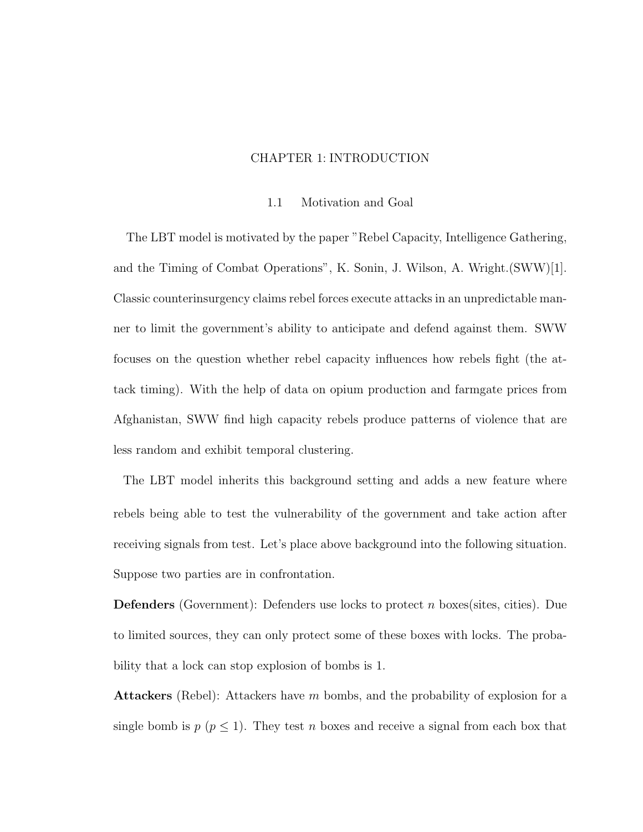## CHAPTER 1: INTRODUCTION

#### 1.1 Motivation and Goal

The LBT model is motivated by the paper "Rebel Capacity, Intelligence Gathering, and the Timing of Combat Operations", K. Sonin, J. Wilson, A. Wright.(SWW)[1]. Classic counterinsurgency claims rebel forces execute attacks in an unpredictable manner to limit the government's ability to anticipate and defend against them. SWW focuses on the question whether rebel capacity influences how rebels fight (the attack timing). With the help of data on opium production and farmgate prices from Afghanistan, SWW find high capacity rebels produce patterns of violence that are less random and exhibit temporal clustering.

The LBT model inherits this background setting and adds a new feature where rebels being able to test the vulnerability of the government and take action after receiving signals from test. Let's place above background into the following situation. Suppose two parties are in confrontation.

**Defenders** (Government): Defenders use locks to protect n boxes (sites, cities). Due to limited sources, they can only protect some of these boxes with locks. The probability that a lock can stop explosion of bombs is 1.

**Attackers** (Rebel): Attackers have m bombs, and the probability of explosion for a single bomb is  $p (p \leq 1)$ . They test n boxes and receive a signal from each box that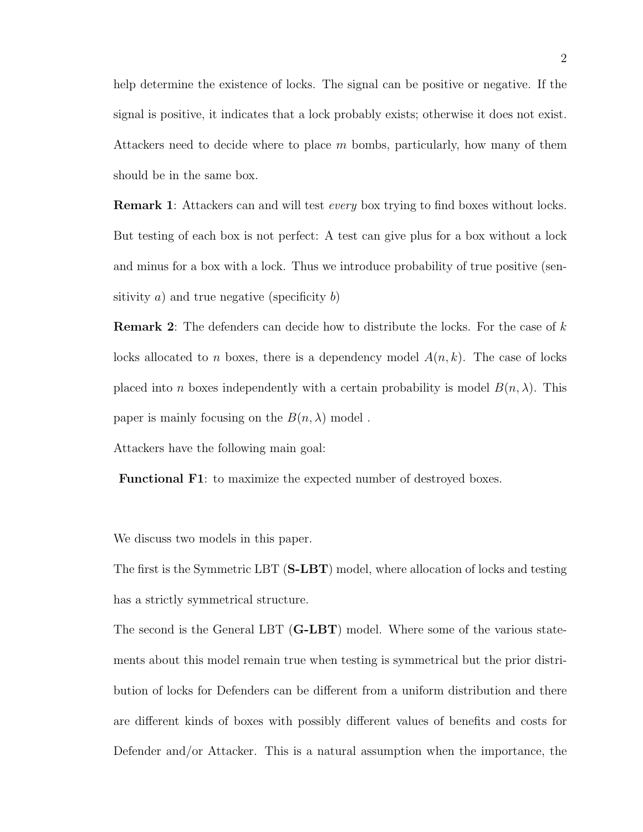help determine the existence of locks. The signal can be positive or negative. If the signal is positive, it indicates that a lock probably exists; otherwise it does not exist. Attackers need to decide where to place  $m$  bombs, particularly, how many of them should be in the same box.

**Remark 1:** Attackers can and will test *every* box trying to find boxes without locks. But testing of each box is not perfect: A test can give plus for a box without a lock and minus for a box with a lock. Thus we introduce probability of true positive (sensitivity  $a$ ) and true negative (specificity  $b$ )

**Remark 2:** The defenders can decide how to distribute the locks. For the case of  $k$ locks allocated to n boxes, there is a dependency model  $A(n, k)$ . The case of locks placed into n boxes independently with a certain probability is model  $B(n, \lambda)$ . This paper is mainly focusing on the  $B(n, \lambda)$  model.

Attackers have the following main goal:

Functional F1: to maximize the expected number of destroyed boxes.

We discuss two models in this paper.

The first is the Symmetric LBT (S-LBT) model, where allocation of locks and testing has a strictly symmetrical structure.

The second is the General LBT (G-LBT) model. Where some of the various statements about this model remain true when testing is symmetrical but the prior distribution of locks for Defenders can be different from a uniform distribution and there are different kinds of boxes with possibly different values of benefits and costs for Defender and/or Attacker. This is a natural assumption when the importance, the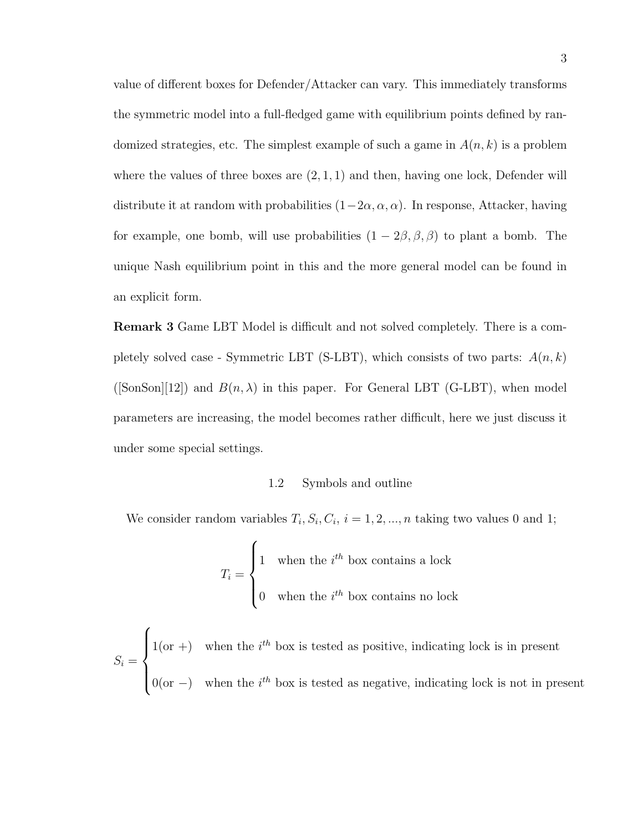value of different boxes for Defender/Attacker can vary. This immediately transforms the symmetric model into a full-fledged game with equilibrium points defined by randomized strategies, etc. The simplest example of such a game in  $A(n, k)$  is a problem where the values of three boxes are  $(2, 1, 1)$  and then, having one lock, Defender will distribute it at random with probabilities  $(1-2\alpha, \alpha, \alpha)$ . In response, Attacker, having for example, one bomb, will use probabilities  $(1 - 2\beta, \beta, \beta)$  to plant a bomb. The unique Nash equilibrium point in this and the more general model can be found in an explicit form.

Remark 3 Game LBT Model is difficult and not solved completely. There is a completely solved case - Symmetric LBT (S-LBT), which consists of two parts:  $A(n, k)$ ([SonSon][12]) and  $B(n, \lambda)$  in this paper. For General LBT (G-LBT), when model parameters are increasing, the model becomes rather difficult, here we just discuss it under some special settings.

#### 1.2 Symbols and outline

We consider random variables  $T_i$ ,  $S_i$ ,  $C_i$ ,  $i = 1, 2, ..., n$  taking two values 0 and 1;

$$
T_i = \begin{cases} 1 & \text{when the } i^{th} \text{ box contains a lock} \\ 0 & \text{when the } i^{th} \text{ box contains no lock} \end{cases}
$$

 $S_i =$  $\sqrt{ }$  $\int$  $\overline{\mathcal{L}}$  $1(\text{or } +)$  when the i<sup>th</sup> box is tested as positive, indicating lock is in present  $0(\text{or } -)$  when the i<sup>th</sup> box is tested as negative, indicating lock is not in present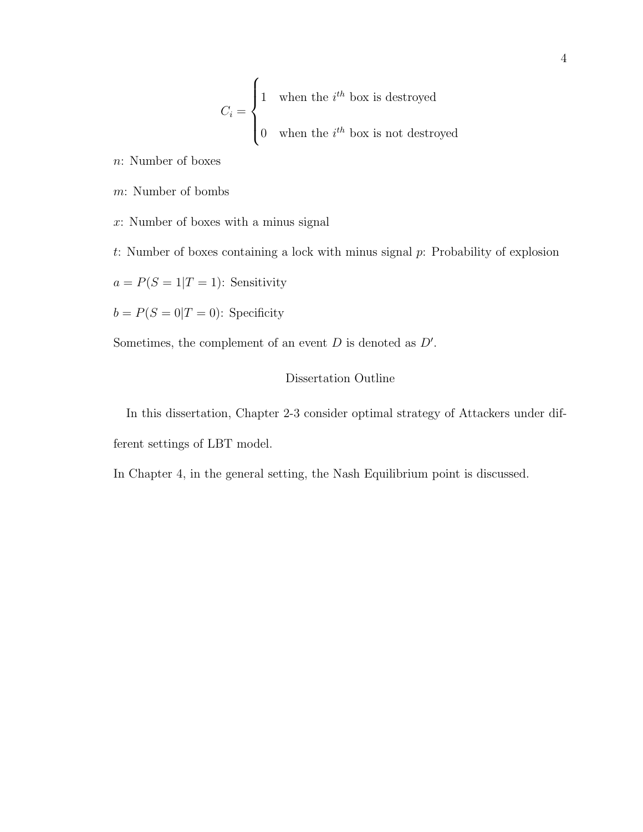$$
C_i = \begin{cases} 1 & \text{when the } i^{th} \text{ box is destroyed} \\ 0 & \text{when the } i^{th} \text{ box is not destroyed} \end{cases}
$$

n: Number of boxes

m: Number of bombs

x: Number of boxes with a minus signal

t: Number of boxes containing a lock with minus signal p: Probability of explosion

 $a = P(S = 1|T = 1)$ : Sensitivity

 $b = P(S = 0|T = 0)$ : Specificity

Sometimes, the complement of an event  $D$  is denoted as  $D'$ .

## Dissertation Outline

In this dissertation, Chapter 2-3 consider optimal strategy of Attackers under different settings of LBT model.

In Chapter 4, in the general setting, the Nash Equilibrium point is discussed.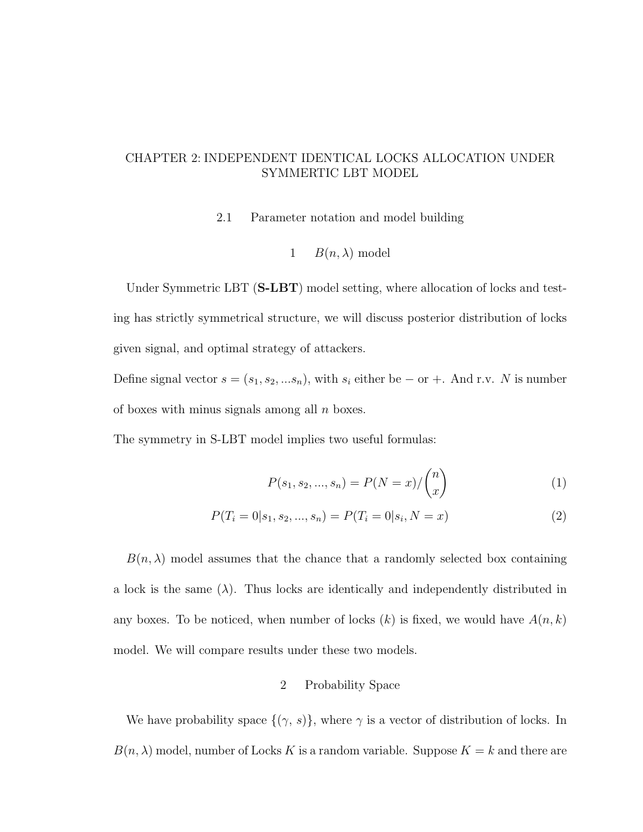# CHAPTER 2: INDEPENDENT IDENTICAL LOCKS ALLOCATION UNDER SYMMERTIC LBT MODEL

2.1 Parameter notation and model building

1 
$$
B(n, \lambda)
$$
 model

Under Symmetric LBT (S-LBT) model setting, where allocation of locks and testing has strictly symmetrical structure, we will discuss posterior distribution of locks given signal, and optimal strategy of attackers.

Define signal vector  $s = (s_1, s_2, ... s_n)$ , with  $s_i$  either be – or +. And r.v. N is number of boxes with minus signals among all  $n$  boxes.

The symmetry in S-LBT model implies two useful formulas:

$$
P(s_1, s_2, ..., s_n) = P(N = x) / {n \choose x}
$$
 (1)

$$
P(T_i = 0|s_1, s_2, ..., s_n) = P(T_i = 0|s_i, N = x)
$$
\n(2)

 $B(n, \lambda)$  model assumes that the chance that a randomly selected box containing a lock is the same  $(\lambda)$ . Thus locks are identically and independently distributed in any boxes. To be noticed, when number of locks  $(k)$  is fixed, we would have  $A(n, k)$ model. We will compare results under these two models.

#### 2 Probability Space

We have probability space  $\{(\gamma, s)\}\$ , where  $\gamma$  is a vector of distribution of locks. In  $B(n, \lambda)$  model, number of Locks K is a random variable. Suppose  $K = k$  and there are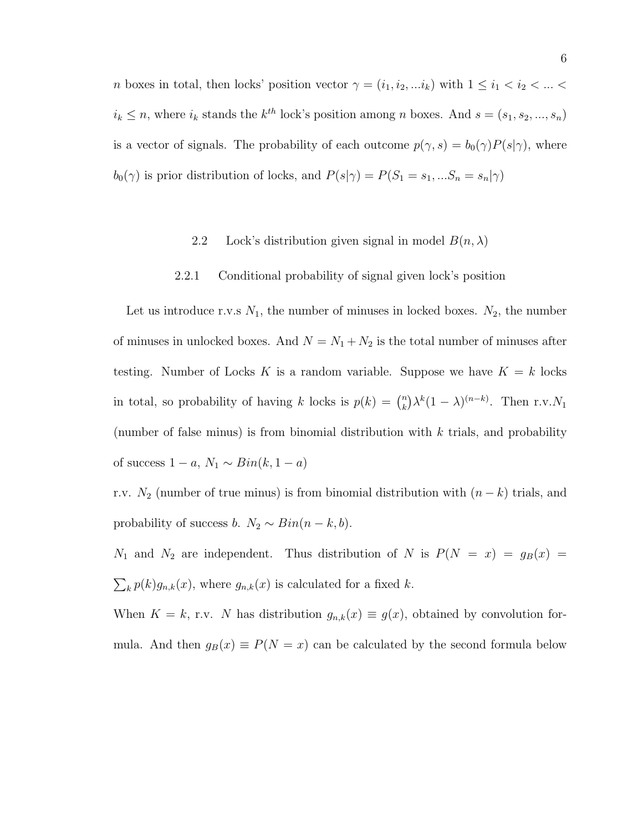*n* boxes in total, then locks' position vector  $\gamma = (i_1, i_2, \dots i_k)$  with  $1 \le i_1 < i_2 < \dots <$  $i_k \leq n$ , where  $i_k$  stands the  $k^{th}$  lock's position among n boxes. And  $s = (s_1, s_2, ..., s_n)$ is a vector of signals. The probability of each outcome  $p(\gamma, s) = b_0(\gamma)P(s|\gamma)$ , where  $b_0(\gamma)$  is prior distribution of locks, and  $P(s|\gamma) = P(S_1 = s_1, ... S_n = s_n|\gamma)$ 

### 2.2 Lock's distribution given signal in model  $B(n, \lambda)$

#### 2.2.1 Conditional probability of signal given lock's position

Let us introduce r.v.s  $N_1$ , the number of minuses in locked boxes.  $N_2$ , the number of minuses in unlocked boxes. And  $N = N_1 + N_2$  is the total number of minuses after testing. Number of Locks K is a random variable. Suppose we have  $K = k$  locks in total, so probability of having k locks is  $p(k) = \binom{n}{k}$  $\binom{n}{k} \lambda^k (1-\lambda)^{(n-k)}$ . Then r.v.  $N_1$ (number of false minus) is from binomial distribution with k trials, and probability of success  $1 - a$ ,  $N_1 \sim Bin(k, 1 - a)$ 

r.v.  $N_2$  (number of true minus) is from binomial distribution with  $(n - k)$  trials, and probability of success b.  $N_2 \sim Bin(n-k, b)$ .

 $N_1$  and  $N_2$  are independent. Thus distribution of N is  $P(N = x) = g_B(x)$  $\sum_k p(k)g_{n,k}(x)$ , where  $g_{n,k}(x)$  is calculated for a fixed k.

When  $K = k$ , r.v. N has distribution  $g_{n,k}(x) \equiv g(x)$ , obtained by convolution formula. And then  $g_B(x) \equiv P(N = x)$  can be calculated by the second formula below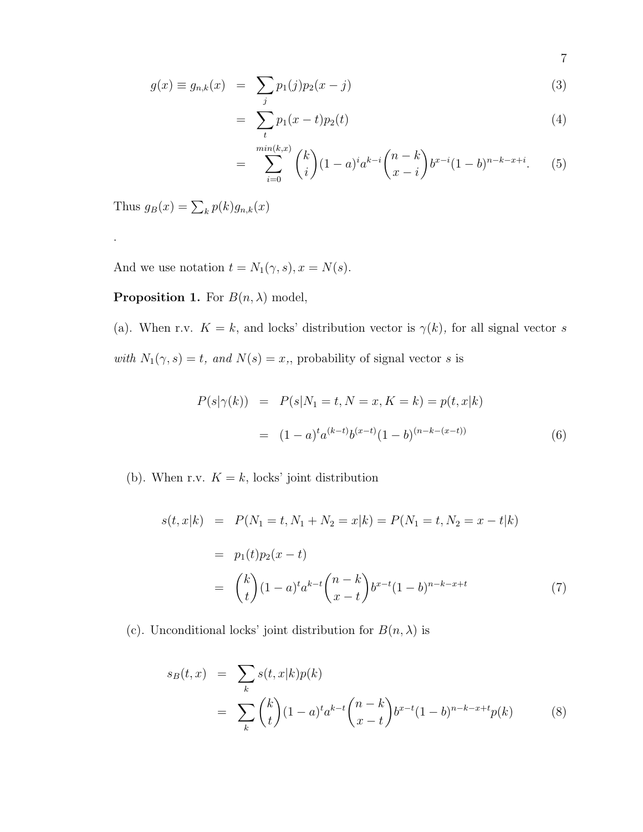$$
g(x) \equiv g_{n,k}(x) = \sum_{j} p_1(j) p_2(x - j)
$$
 (3)

$$
= \sum_{t} p_1(x-t) p_2(t) \tag{4}
$$

$$
= \sum_{i=0}^{\min(k,x)} \binom{k}{i} (1-a)^i a^{k-i} \binom{n-k}{x-i} b^{x-i} (1-b)^{n-k-x+i}.\tag{5}
$$

Thus  $g_B(x) = \sum_k p(k) g_{n,k}(x)$ 

.

And we use notation  $t = N_1(\gamma, s), x = N(s)$ .

**Proposition 1.** For  $B(n, \lambda)$  model,

(a). When r.v.  $K = k$ , and locks' distribution vector is  $\gamma(k)$ , for all signal vector s with  $N_1(\gamma, s) = t$ , and  $N(s) = x$ , probability of signal vector s is

$$
P(s|\gamma(k)) = P(s|N_1 = t, N = x, K = k) = p(t, x|k)
$$

$$
= (1 - a)^t a^{(k-t)} b^{(x-t)} (1 - b)^{(n-k-(x-t))}
$$
(6)

(b). When r.v.  $K = k$ , locks' joint distribution

$$
s(t, x|k) = P(N_1 = t, N_1 + N_2 = x|k) = P(N_1 = t, N_2 = x - t|k)
$$
  
=  $p_1(t)p_2(x - t)$   
=  $\binom{k}{t}(1 - a)^t a^{k-t} \binom{n-k}{x - t} b^{x-t} (1 - b)^{n-k-x+t}$  (7)

(c). Unconditional locks' joint distribution for  $B(n, \lambda)$  is

$$
s_B(t,x) = \sum_{k} s(t,x|k)p(k)
$$
  
= 
$$
\sum_{k} {k \choose t} (1-a)^t a^{k-t} {n-k \choose x-t} b^{x-t} (1-b)^{n-k-x+t} p(k)
$$
 (8)

7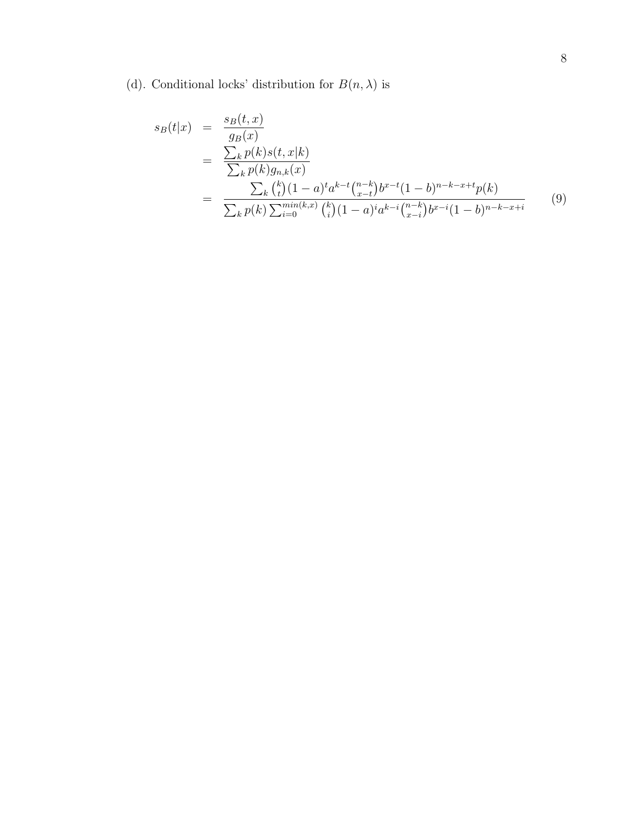(d). Conditional locks' distribution for  $B(n,\lambda)$  is

$$
s_B(t|x) = \frac{s_B(t, x)}{g_B(x)}
$$
  
= 
$$
\frac{\sum_k p(k)s(t, x|k)}{\sum_k p(k)g_{n,k}(x)}
$$
  
= 
$$
\frac{\sum_k {k \choose t} (1-a)^t a^{k-t} {n-k \choose x-t} b^{x-t} (1-b)^{n-k-x+t} p(k)}{\sum_k p(k) \sum_{i=0}^{\min(k, x)} {k \choose i} (1-a)^i a^{k-i} {n-k \choose x-i} b^{x-i} (1-b)^{n-k-x+i}}
$$
(9)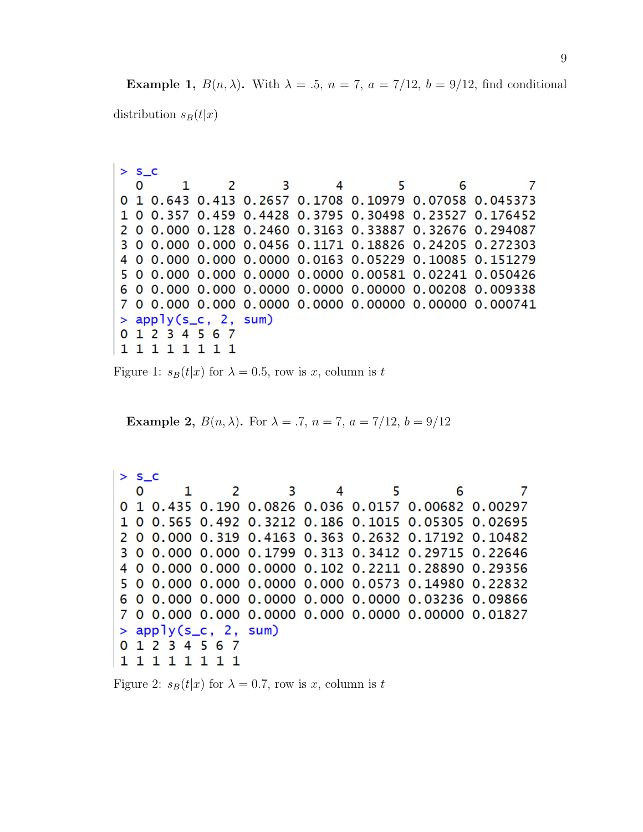**Example 1,**  $B(n, \lambda)$ . With  $\lambda = .5$ ,  $n = 7$ ,  $a = 7/12$ ,  $b = 9/12$ , find conditional distribution  $s_B(t|x)$ 

| 2 S L |                 |                        |     |                |    |   |                                                                        |
|-------|-----------------|------------------------|-----|----------------|----|---|------------------------------------------------------------------------|
| 0     |                 |                        | 2 3 | $\overline{4}$ | 5. | 6 |                                                                        |
|       |                 |                        |     |                |    |   | 0 1 0.643 0.413 0.2657 0.1708 0.10979 0.07058 0.045373                 |
|       |                 |                        |     |                |    |   | 1 0 0.357 0.459 0.4428 0.3795 0.30498 0.23527 0.176452                 |
|       |                 |                        |     |                |    |   | 2 0 0.000 0.128 0.2460 0.3163 0.33887 0.32676 0.294087                 |
|       |                 |                        |     |                |    |   | 3 0 0.000 0.000 0.0456 0.1171 0.18826 0.24205 0.272303                 |
|       |                 |                        |     |                |    |   | 4 0 0.000 0.000 0.0000 0.0163 0.05229 0.10085 0.151279                 |
|       |                 |                        |     |                |    |   | 5 0 0.000 0.000 0.0000 0.0000 0.00581 0.02241 0.050426                 |
|       |                 |                        |     |                |    |   | 6   0   0.000   0.000   0.0000   0.0000   0.00000   0.00208   0.009338 |
|       |                 |                        |     |                |    |   | 7 0 0.000 0.000 0.0000 0.0000 0.00000 0.00000 0.000741                 |
|       |                 | $>$ apply(s_c, 2, sum) |     |                |    |   |                                                                        |
|       | 0 1 2 3 4 5 6 7 |                        |     |                |    |   |                                                                        |
|       | 1 1 1 1 1 1 1 1 |                        |     |                |    |   |                                                                        |
|       |                 |                        |     |                |    |   |                                                                        |

Figure 1:  $s_B(t|x)$  for  $\lambda = 0.5$ , row is x, column is t

**Example 2,**  $B(n, \lambda)$ . For  $\lambda = .7$ ,  $n = 7$ ,  $a = 7/12$ ,  $b = 9/12$ 

 $> S_C$ 1 2 5 3 4 6 7 0 0 1 0.435 0.190 0.0826 0.036 0.0157 0.00682 0.00297 1 0 0.565 0.492 0.3212 0.186 0.1015 0.05305 0.02695 2 0 0.000 0.319 0.4163 0.363 0.2632 0.17192 0.10482 3 0 0.000 0.000 0.1799 0.313 0.3412 0.29715 0.22646 4 0 0.000 0.000 0.0000 0.102 0.2211 0.28890 0.29356 5 0 0.000 0.000 0.0000 0.000 0.0573 0.14980 0.22832 6 0 0.000 0.000 0.0000 0.000 0.0000 0.03236 0.09866 7 0 0.000 0.000 0.0000 0.000 0.0000 0.00000 0.01827  $>$  apply(s\_c, 2, sum) 0 1 2 3 4 5 6 7 11111111

Figure 2:  $s_B(t|x)$  for  $\lambda = 0.7$ , row is x, column is t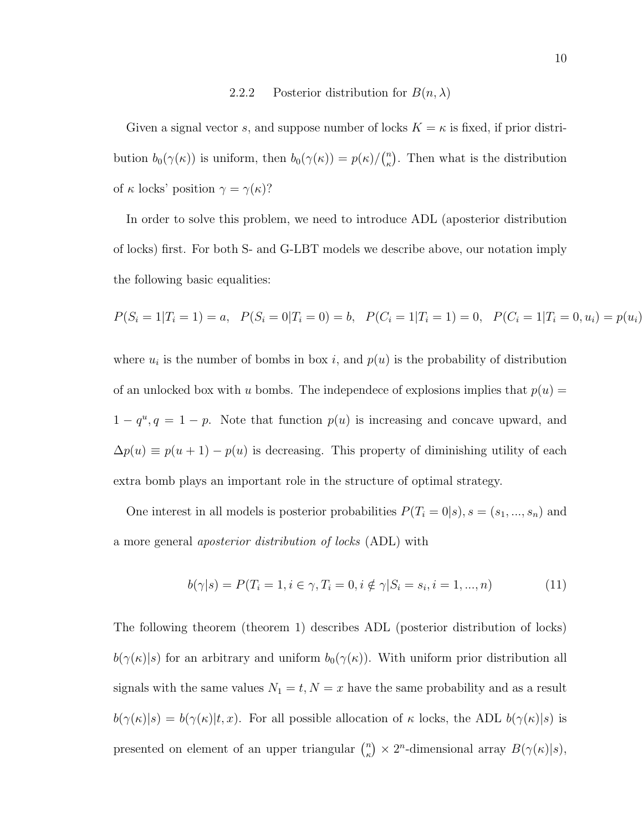## 2.2.2 Posterior distribution for  $B(n, \lambda)$

Given a signal vector s, and suppose number of locks  $K = \kappa$  is fixed, if prior distribution  $b_0(\gamma(\kappa))$  is uniform, then  $b_0(\gamma(\kappa)) = p(\kappa)/\binom{n}{\kappa}$  $\binom{n}{\kappa}$ . Then what is the distribution of  $\kappa$  locks' position  $\gamma = \gamma(\kappa)$ ?

In order to solve this problem, we need to introduce ADL (aposterior distribution of locks) first. For both S- and G-LBT models we describe above, our notation imply the following basic equalities:

$$
P(S_i = 1 | T_i = 1) = a, \quad P(S_i = 0 | T_i = 0) = b, \quad P(C_i = 1 | T_i = 1) = 0, \quad P(C_i = 1 | T_i = 0, u_i) = p(u_i)
$$

where  $u_i$  is the number of bombs in box i, and  $p(u)$  is the probability of distribution of an unlocked box with u bombs. The independece of explosions implies that  $p(u) =$  $1 - q^u$ ,  $q = 1 - p$ . Note that function  $p(u)$  is increasing and concave upward, and  $\Delta p(u) \equiv p(u+1) - p(u)$  is decreasing. This property of diminishing utility of each extra bomb plays an important role in the structure of optimal strategy.

One interest in all models is posterior probabilities  $P(T_i = 0|s)$ ,  $s = (s_1, ..., s_n)$  and a more general aposterior distribution of locks (ADL) with

$$
b(\gamma|s) = P(T_i = 1, i \in \gamma, T_i = 0, i \notin \gamma | S_i = s_i, i = 1, ..., n)
$$
\n(11)

The following theorem (theorem 1) describes ADL (posterior distribution of locks)  $b(\gamma(\kappa)|s)$  for an arbitrary and uniform  $b_0(\gamma(\kappa))$ . With uniform prior distribution all signals with the same values  $N_1 = t, N = x$  have the same probability and as a result  $b(\gamma(\kappa)|s) = b(\gamma(\kappa)|t, x)$ . For all possible allocation of  $\kappa$  locks, the ADL  $b(\gamma(\kappa)|s)$  is presented on element of an upper triangular  $\binom{n}{k}$  $\binom{n}{\kappa} \times 2^n$ -dimensional array  $B(\gamma(\kappa)|s)$ ,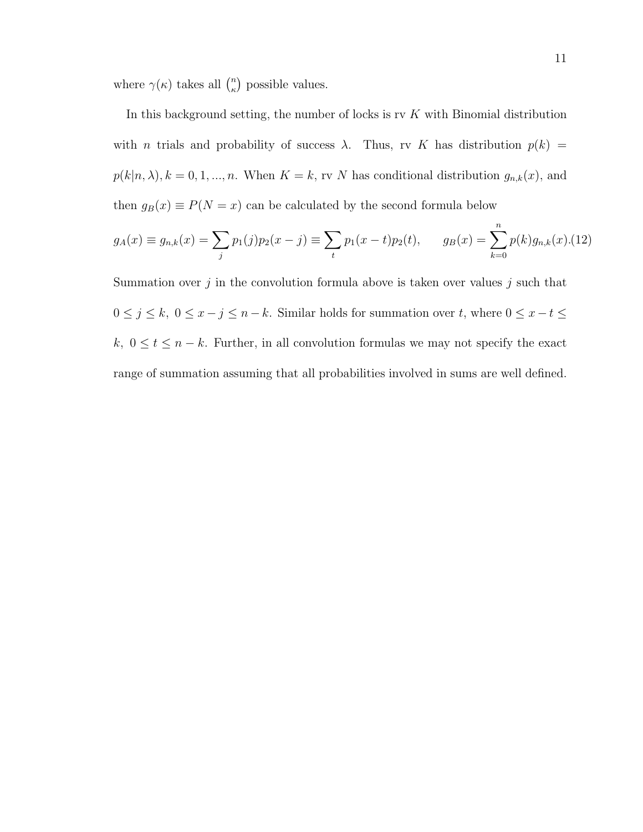where  $\gamma(\kappa)$  takes all  $\binom{n}{k}$  $\binom{n}{\kappa}$  possible values.

In this background setting, the number of locks is rv  $K$  with Binomial distribution with *n* trials and probability of success  $\lambda$ . Thus, rv K has distribution  $p(k)$  =  $p(k|n, \lambda), k = 0, 1, ..., n$ . When  $K = k$ , rv N has conditional distribution  $g_{n,k}(x)$ , and then  $g_B(x) \equiv P(N = x)$  can be calculated by the second formula below

$$
g_A(x) \equiv g_{n,k}(x) = \sum_j p_1(j)p_2(x-j) \equiv \sum_t p_1(x-t)p_2(t), \qquad g_B(x) = \sum_{k=0}^n p(k)g_{n,k}(x). (12)
$$

Summation over  $j$  in the convolution formula above is taken over values  $j$  such that  $0 \le j \le k$ ,  $0 \le x - j \le n - k$ . Similar holds for summation over t, where  $0 \le x - t \le$ k,  $0 \le t \le n - k$ . Further, in all convolution formulas we may not specify the exact range of summation assuming that all probabilities involved in sums are well defined.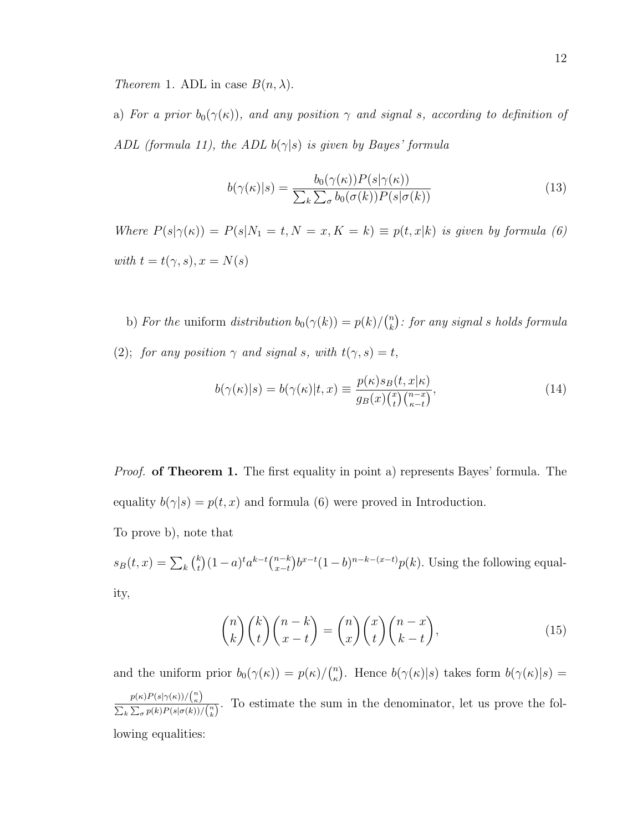Theorem 1. ADL in case  $B(n, \lambda)$ .

a) For a prior  $b_0(\gamma(\kappa))$ , and any position  $\gamma$  and signal s, according to definition of ADL (formula 11), the ADL  $b(\gamma|s)$  is given by Bayes' formula

$$
b(\gamma(\kappa)|s) = \frac{b_0(\gamma(\kappa))P(s|\gamma(\kappa))}{\sum_k \sum_{\sigma} b_0(\sigma(k))P(s|\sigma(k))}
$$
(13)

Where  $P(s|\gamma(\kappa)) = P(s|N_1 = t, N = x, K = k) \equiv p(t, x|k)$  is given by formula (6) with  $t = t(\gamma, s), x = N(s)$ 

b) For the uniform distribution  $b_0(\gamma(k)) = p(k)/\binom{n}{k}$  $\binom{n}{k}$ : for any signal s holds formula (2); for any position  $\gamma$  and signal s, with  $t(\gamma, s) = t$ ,

$$
b(\gamma(\kappa)|s) = b(\gamma(\kappa)|t, x) \equiv \frac{p(\kappa)s_B(t, x|\kappa)}{g_B(x)\binom{x}{t}\binom{n-x}{\kappa-t}},\tag{14}
$$

*Proof.* of Theorem 1. The first equality in point a) represents Bayes' formula. The equality  $b(\gamma|s) = p(t, x)$  and formula (6) were proved in Introduction.

To prove b), note that

 $s_B(t,x) = \sum_k \binom{k}{t}$  $\binom{k}{t} (1-a)^t a^{k-t} \binom{n-k}{x-t}$  $_{x-t}^{(n-k)}b^{x-t}(1-b)^{n-k-(x-t)}p(k)$ . Using the following equality,

$$
\binom{n}{k}\binom{k}{t}\binom{n-k}{x-t} = \binom{n}{x}\binom{x}{t}\binom{n-x}{k-t},\tag{15}
$$

and the uniform prior  $b_0(\gamma(\kappa)) = p(\kappa)/\binom{n}{\kappa}$ <sup>n</sup><sub>k</sub>). Hence  $b(\gamma(\kappa)|s)$  takes form  $b(\gamma(\kappa)|s)$  =  $p(\kappa)P(s|\gamma(\kappa))/\binom{n}{\kappa}$  $\frac{P^{(k)}\Gamma(s|f(k))/\binom{k}{k}}{\sum_{k}\sum_{\sigma}p(k)P(s|\sigma(k))/\binom{n}{k}}$ . To estimate the sum in the denominator, let us prove the following equalities: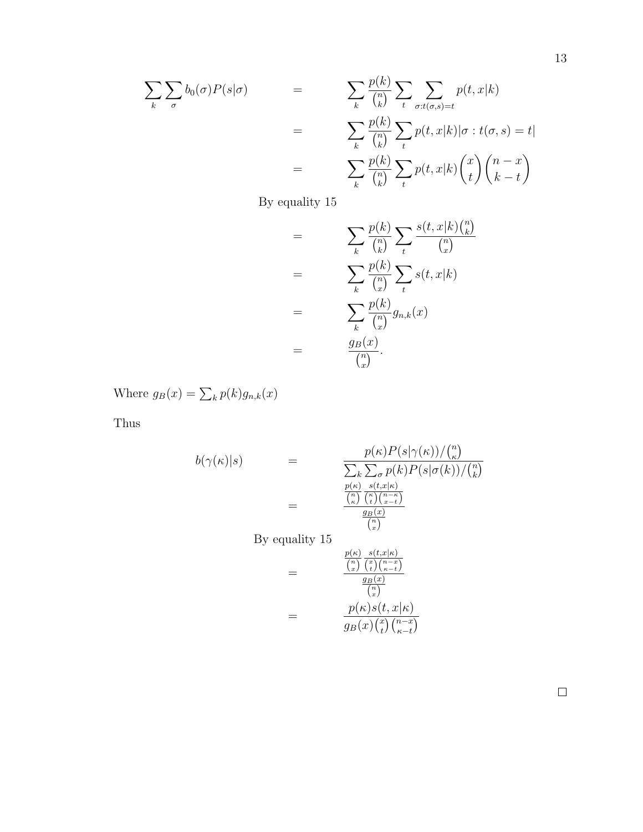$$
\sum_{k} \sum_{\sigma} b_{0}(\sigma) P(s|\sigma) = \sum_{k} \frac{p(k)}{\binom{n}{k}} \sum_{t} \sum_{\sigma:t(\sigma,s)=t} p(t,x|k)
$$

$$
= \sum_{k} \frac{p(k)}{\binom{n}{k}} \sum_{t} p(t,x|k) |\sigma:t(\sigma,s)=t|
$$

$$
= \sum_{k} \frac{p(k)}{\binom{n}{k}} \sum_{t} p(t,x|k) \binom{x}{t} \binom{n-x}{k-t}
$$

By equality 15

$$
= \sum_{k} \frac{p(k)}{\binom{n}{k}} \sum_{t} \frac{s(t, x|k)\binom{n}{k}}{\binom{n}{x}}
$$

$$
= \sum_{k} \frac{p(k)}{\binom{n}{x}} \sum_{t} s(t, x|k)
$$

$$
= \sum_{k} \frac{p(k)}{\binom{n}{x}} g_{n,k}(x)
$$

$$
= \frac{g_B(x)}{\binom{n}{x}}.
$$

Where  $g_B(x) = \sum_k p(k) g_{n,k}(x)$ 

Thus

$$
b(\gamma(\kappa)|s) = \frac{p(\kappa)P(s|\gamma(\kappa))/\binom{n}{\kappa}}{\sum_{k} \sum_{\sigma} p(k)P(s|\sigma(k))/\binom{n}{k}}
$$
  
\n
$$
= \frac{\frac{p(\kappa)}{\binom{n}{\kappa}} \frac{s(t,x|\kappa)}{\binom{n}{\kappa} \binom{n-\kappa}{x-t}}}{\frac{g_B(x)}{\binom{n}{\kappa}}}
$$
  
\nBy equality 15  
\n
$$
= \frac{\frac{p(\kappa)}{\binom{n}{\kappa}} \frac{s(t,x|\kappa)}{\binom{n}{\kappa} \binom{n-\kappa}{\kappa-t}}}{\frac{g_B(x)}{\binom{n}{\kappa}}}
$$
  
\n
$$
= \frac{p(\kappa)s(t,x|\kappa)}{\binom{n}{\kappa}}}{g_B(x)\binom{n-x}{t}\binom{n-x}{\kappa-t}}
$$

 $\Box$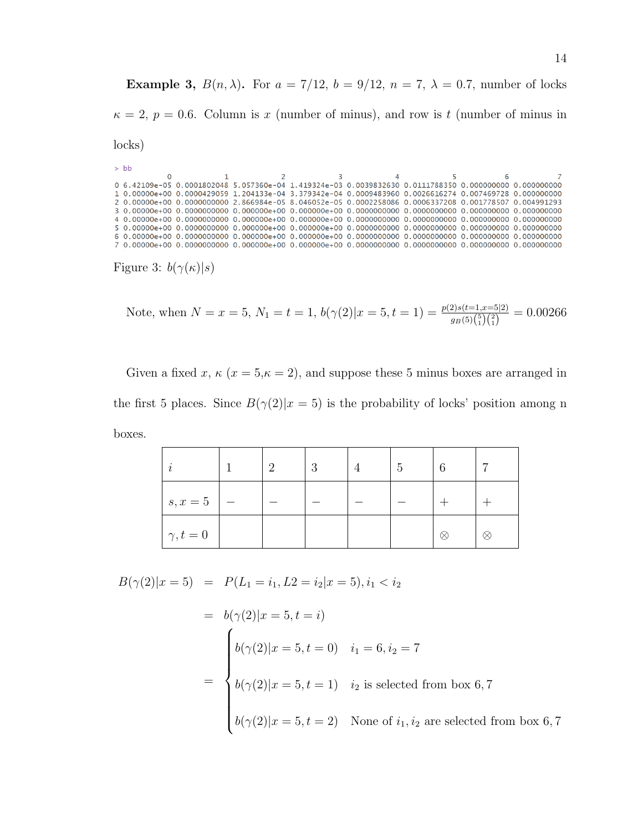Example 3,  $B(n, \lambda)$ . For  $a = 7/12$ ,  $b = 9/12$ ,  $n = 7$ ,  $\lambda = 0.7$ , number of locks  $\kappa = 2, p = 0.6$ . Column is x (number of minus), and row is t (number of minus in locks)

 $>bb$  $\mathbf{0}$  $\mathbf{1}$  $\overline{2}$ 3  $\overline{4}$  $\overline{\mathbf{S}}$ 6 0 6.42109e-05 0.0001802048 5.057360e-04 1.419324e-03 0.0039832630 0.0111788350 0.000000000 0.000000000 1 0.00000e+00 0.0000429059 1.204133e-04 3.379342e-04 0.0009483960 0.0026616274 0.007469728 0.000000000 2 0.00000e+00 0.0000000000 2.866984e-05 8.046052e-05 0.0002258086 0.0006337208 0.001778507 0.004991293 

Figure 3:  $b(\gamma(\kappa)|s)$ 

Note, when 
$$
N = x = 5
$$
,  $N_1 = t = 1$ ,  $b(\gamma(2)|x = 5, t = 1) = \frac{p(2)s(t=1, x=5|2)}{g_B(5)\binom{5}{1}\binom{2}{1}} = 0.00266$ 

Given a fixed x,  $\kappa$  ( $x = 5, \kappa = 2$ ), and suppose these 5 minus boxes are arranged in the first 5 places. Since  $B(\gamma(2)|x=5)$  is the probability of locks' position among n boxes.

|                 | റ | 3 | - 5 | 6         | ⇁ |
|-----------------|---|---|-----|-----------|---|
| $s, x = 5$      |   |   |     |           |   |
| $\gamma, t = 0$ |   |   |     | $\propto$ | ⊗ |

$$
B(\gamma(2)|x=5) = P(L_1 = i_1, L_2 = i_2|x=5), i_1 < i_2
$$

$$
= b(\gamma(2)|x = 5, t = i)
$$
  

$$
= \begin{cases} b(\gamma(2)|x = 5, t = 0) & i_1 = 6, i_2 = 7 \\ b(\gamma(2)|x = 5, t = 1) & i_2 \text{ is selected from box 6,7} \\ b(\gamma(2)|x = 5, t = 2) & \text{None of } i_1, i_2 \text{ are selected from box 6,7} \end{cases}
$$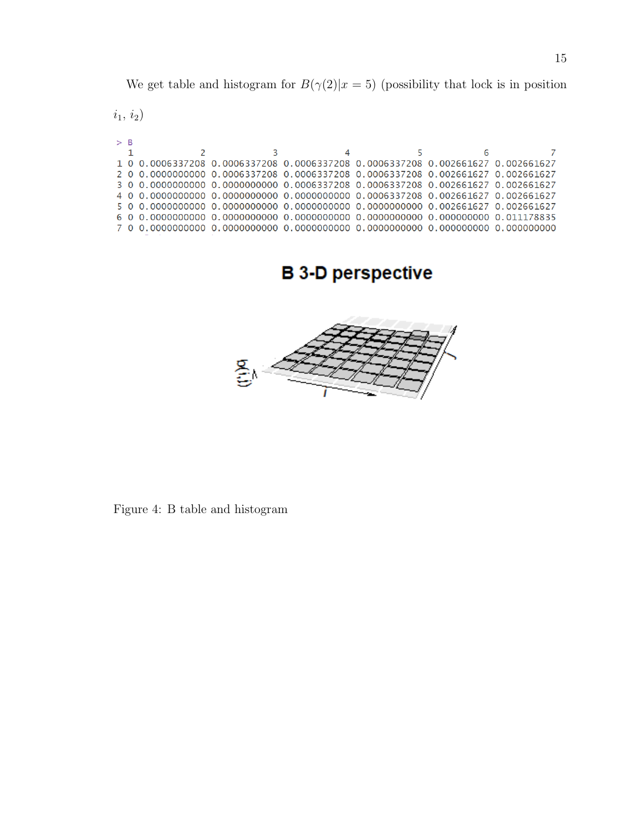We get table and histogram for  $B(\gamma(2)|x=5)$  (possibility that lock is in position

 $i_1,\,i_2)$ 

| $>$ B |  |                                                                                 |  |  |
|-------|--|---------------------------------------------------------------------------------|--|--|
|       |  |                                                                                 |  |  |
|       |  | 1 0 0.0006337208 0.0006337208 0.0006337208 0.0006337208 0.002661627 0.002661627 |  |  |
|       |  | 2 0 0.0000000000 0.0006337208 0.0006337208 0.0006337208 0.002661627 0.002661627 |  |  |
|       |  | 3 0 0.0000000000 0.0000000000 0.0006337208 0.0006337208 0.002661627 0.002661627 |  |  |
|       |  |                                                                                 |  |  |
|       |  |                                                                                 |  |  |
|       |  |                                                                                 |  |  |
|       |  |                                                                                 |  |  |
|       |  |                                                                                 |  |  |

**B 3-D perspective** 



Figure 4: B table and histogram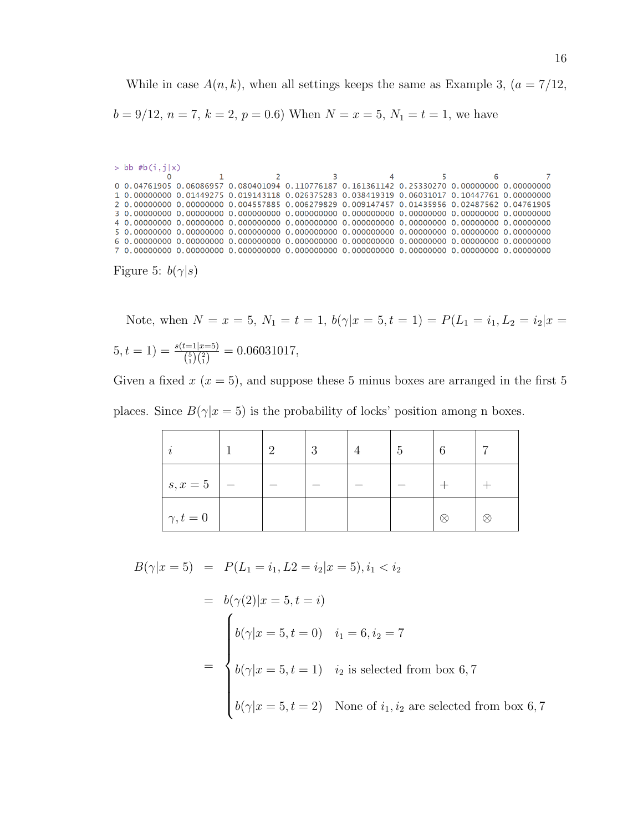While in case  $A(n, k)$ , when all settings keeps the same as Example 3,  $(a = 7/12,$  $b = 9/12, n = 7, k = 2, p = 0.6$  When  $N = x = 5, N_1 = t = 1$ , we have

```
> bb #b(i,j|x)<br>0
          \mathbf 1\overline{2}\overline{3}\overline{5}\overline{4}6
0 0.04761905 0.06086957 0.080401094 0.110776187 0.161361142 0.25330270 0.00000000 0.00000000
1 0.00000000 0.01449275 0.019143118 0.026375283 0.038419319 0.06031017 0.10447761 0.00000000
2 0.00000000 0.00000000 0.004557885 0.006279829 0.009147457 0.01435956 0.02487562 0.04761905
```
Figure 5:  $b(\gamma|s)$ 

Note, when  $N = x = 5$ ,  $N_1 = t = 1$ ,  $b(\gamma | x = 5, t = 1) = P(L_1 = i_1, L_2 = i_2 | x = 1)$  $(5, t = 1) = \frac{s(t=1|x=5)}{\binom{5}{1}\binom{2}{1}} = 0.06031017,$ 

Given a fixed  $x(x = 5)$ , and suppose these 5 minus boxes are arranged in the first 5 places. Since  $B(\gamma|x=5)$  is the probability of locks' position among n boxes.

| $\boldsymbol{\eta}$ | റ | -3 | $\mathbf{G}$ | 6         |   |
|---------------------|---|----|--------------|-----------|---|
| $s, x = 5$          |   |    |              |           |   |
| $\gamma, t = 0$     |   |    |              | $\propto$ | ⊗ |

 $B(\gamma|x=5) = P(L_1 = i_1, L_2 = i_2|x=5), i_1 < i_2$ 

$$
= b(\gamma(2)|x = 5, t = i)
$$
  
\n
$$
b(\gamma|x = 5, t = 0) \quad i_1 = 6, i_2 = 7
$$
  
\n
$$
= \begin{cases} b(\gamma|x = 5, t = 1) & i_2 \text{ is selected from box } 6, 7 \\ b(\gamma|x = 5, t = 2) & \text{None of } i_1, i_2 \text{ are selected from box } 6, 7 \end{cases}
$$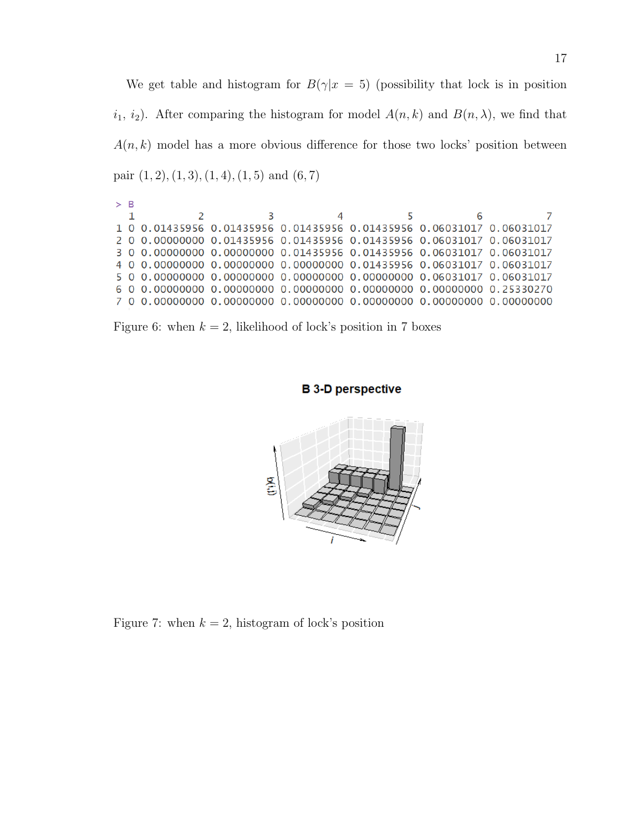We get table and histogram for  $B(\gamma|x=5)$  (possibility that lock is in position  $i_1$ ,  $i_2$ ). After comparing the histogram for model  $A(n, k)$  and  $B(n, \lambda)$ , we find that  $A(n, k)$  model has a more obvious difference for those two locks' position between pair  $(1, 2), (1, 3), (1, 4), (1, 5)$  and  $(6, 7)$ 

| $>$ $\kappa$ |  |  |                                                                       |  |
|--------------|--|--|-----------------------------------------------------------------------|--|
|              |  |  | 6                                                                     |  |
|              |  |  | 1 0 0 01435956 0 01435956 0 01435956 0 01435956 0 06031017 0 06031017 |  |
|              |  |  | 2 0 0.00000000 0.01435956 0.01435956 0.01435956 0.06031017 0.06031017 |  |
|              |  |  | 3 0 0.00000000 0.00000000 0.01435956 0.01435956 0.06031017 0.06031017 |  |
|              |  |  | 4 0 0.00000000 0.00000000 0.00000000 0.01435956 0.06031017 0.06031017 |  |
|              |  |  |                                                                       |  |
|              |  |  |                                                                       |  |
|              |  |  |                                                                       |  |
|              |  |  |                                                                       |  |

Figure 6: when  $k = 2$ , likelihood of lock's position in 7 boxes

## **B 3-D perspective**



Figure 7: when  $k = 2$ , histogram of lock's position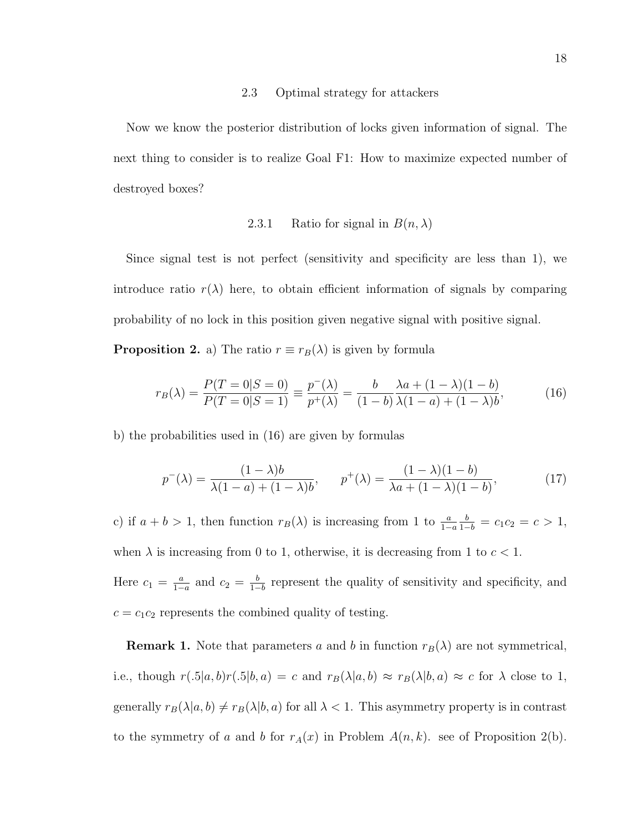#### 2.3 Optimal strategy for attackers

Now we know the posterior distribution of locks given information of signal. The next thing to consider is to realize Goal F1: How to maximize expected number of destroyed boxes?

## 2.3.1 Ratio for signal in  $B(n, \lambda)$

Since signal test is not perfect (sensitivity and specificity are less than 1), we introduce ratio  $r(\lambda)$  here, to obtain efficient information of signals by comparing probability of no lock in this position given negative signal with positive signal.

**Proposition 2.** a) The ratio  $r \equiv r_B(\lambda)$  is given by formula

$$
r_B(\lambda) = \frac{P(T=0|S=0)}{P(T=0|S=1)} = \frac{p^-(\lambda)}{p^+(\lambda)} = \frac{b}{(1-b)} \frac{\lambda a + (1-\lambda)(1-b)}{\lambda(1-a) + (1-\lambda)b},\tag{16}
$$

b) the probabilities used in (16) are given by formulas

$$
p^{-}(\lambda) = \frac{(1 - \lambda)b}{\lambda(1 - a) + (1 - \lambda)b}, \qquad p^{+}(\lambda) = \frac{(1 - \lambda)(1 - b)}{\lambda a + (1 - \lambda)(1 - b)},
$$
(17)

c) if  $a + b > 1$ , then function  $r_B(\lambda)$  is increasing from 1 to  $\frac{a}{1-a}$  $\frac{b}{1-b} = c_1 c_2 = c > 1,$ when  $\lambda$  is increasing from 0 to 1, otherwise, it is decreasing from 1 to  $c < 1$ . Here  $c_1 = \frac{a}{1-a}$  $\frac{a}{1-a}$  and  $c_2 = \frac{b}{1-a}$  $\frac{b}{1-b}$  represent the quality of sensitivity and specificity, and  $c = c_1 c_2$  represents the combined quality of testing.

**Remark 1.** Note that parameters a and b in function  $r_B(\lambda)$  are not symmetrical, i.e., though  $r(.5|a, b)r(.5|b, a) = c$  and  $r_B(\lambda|a, b) \approx r_B(\lambda|b, a) \approx c$  for  $\lambda$  close to 1, generally  $r_B(\lambda|a, b) \neq r_B(\lambda|b, a)$  for all  $\lambda < 1$ . This asymmetry property is in contrast to the symmetry of a and b for  $r_A(x)$  in Problem  $A(n, k)$ . see of Proposition 2(b).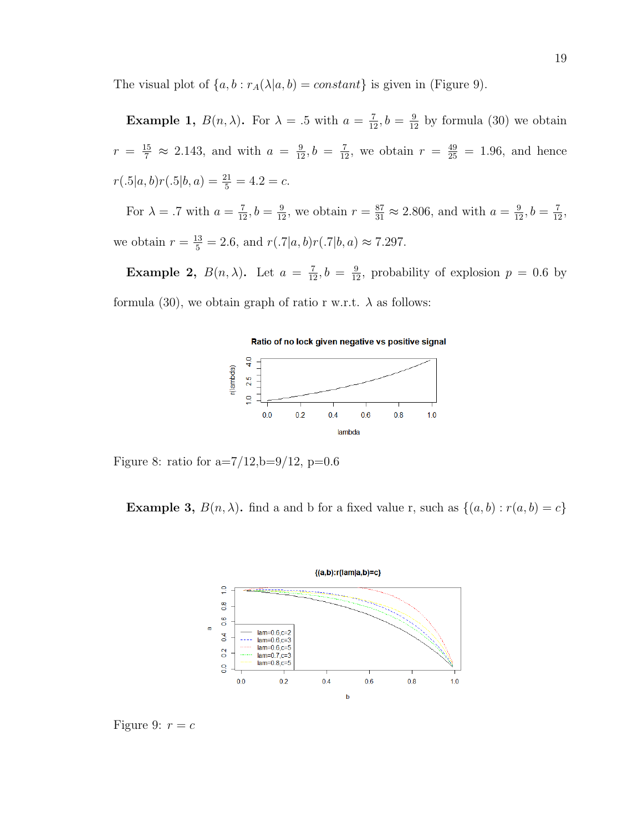The visual plot of  $\{a, b : r_A(\lambda|a, b) = constant\}$  is given in (Figure 9).

**Example 1,**  $B(n, \lambda)$ . For  $\lambda = 0.5$  with  $a = \frac{7}{12}$ ,  $b = \frac{9}{12}$  by formula (30) we obtain  $r = \frac{15}{7} \approx 2.143$ , and with  $a = \frac{9}{12}$ ,  $b = \frac{7}{12}$ , we obtain  $r = \frac{49}{25} = 1.96$ , and hence  $r(.5|a, b)r(.5|b, a) = \frac{21}{5} = 4.2 = c.$ 

For  $\lambda = .7$  with  $a = \frac{7}{12}$ ,  $b = \frac{9}{12}$ , we obtain  $r = \frac{87}{31} \approx 2.806$ , and with  $a = \frac{9}{12}$ ,  $b = \frac{7}{12}$ , we obtain  $r = \frac{13}{5} = 2.6$ , and  $r(.7|a, b)r(.7|b, a) \approx 7.297$ .

**Example 2,**  $B(n, \lambda)$ . Let  $a = \frac{7}{12}, b = \frac{9}{12}$ , probability of explosion  $p = 0.6$  by formula (30), we obtain graph of ratio r w.r.t.  $\lambda$  as follows:



Figure 8: ratio for  $a=7/12$ ,  $b=9/12$ ,  $p=0.6$ 

**Example 3,**  $B(n, \lambda)$ . find a and b for a fixed value r, such as  $\{(a, b) : r(a, b) = c\}$ 



Figure 9:  $r = c$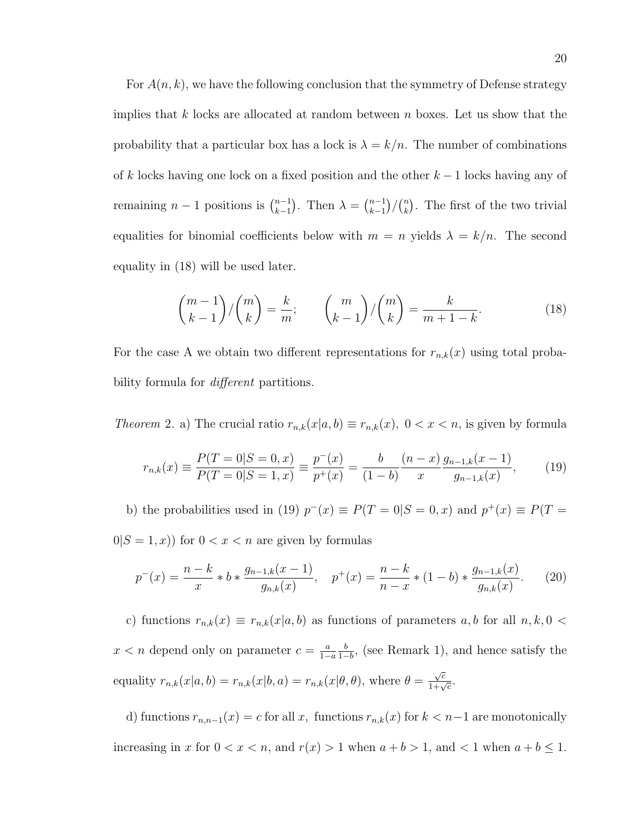For  $A(n, k)$ , we have the following conclusion that the symmetry of Defense strategy implies that k locks are allocated at random between n boxes. Let us show that the probability that a particular box has a lock is  $\lambda = k/n$ . The number of combinations of k locks having one lock on a fixed position and the other  $k-1$  locks having any of remaining  $n-1$  positions is  $\binom{n-1}{k-1}$  $_{k-1}^{n-1}$ ). Then  $\lambda = \binom{n-1}{k-1}$  $\binom{n-1}{k-1}$  /  $\binom{n}{k}$  $\binom{n}{k}$ . The first of the two trivial equalities for binomial coefficients below with  $m = n$  yields  $\lambda = k/n$ . The second equality in (18) will be used later.

$$
\binom{m-1}{k-1} / \binom{m}{k} = \frac{k}{m}; \qquad \binom{m}{k-1} / \binom{m}{k} = \frac{k}{m+1-k}.
$$
 (18)

For the case A we obtain two different representations for  $r_{n,k}(x)$  using total probability formula for *different* partitions.

Theorem 2. a) The crucial ratio  $r_{n,k}(x|a, b) \equiv r_{n,k}(x)$ ,  $0 < x < n$ , is given by formula

$$
r_{n,k}(x) \equiv \frac{P(T=0|S=0,x)}{P(T=0|S=1,x)} \equiv \frac{p^-(x)}{p^+(x)} = \frac{b}{(1-b)} \frac{(n-x)}{x} \frac{g_{n-1,k}(x-1)}{g_{n-1,k}(x)},\tag{19}
$$

b) the probabilities used in (19)  $p^-(x) \equiv P(T = 0|S = 0, x)$  and  $p^+(x) \equiv P(T = 0|S = 0, x)$  $0|S = 1, x)$  for  $0 < x < n$  are given by formulas

$$
p^{-}(x) = \frac{n-k}{x} * b * \frac{g_{n-1,k}(x-1)}{g_{n,k}(x)}, \quad p^{+}(x) = \frac{n-k}{n-x} * (1-b) * \frac{g_{n-1,k}(x)}{g_{n,k}(x)}.
$$
 (20)

c) functions  $r_{n,k}(x) \equiv r_{n,k}(x|a, b)$  as functions of parameters  $a, b$  for all  $n, k, 0 <$  $x < n$  depend only on parameter  $c = \frac{a}{1-a}$  $1-a$ b  $\frac{b}{1-b}$ , (see Remark 1), and hence satisfy the equality  $r_{n,k}(x|a, b) = r_{n,k}(x|b, a) = r_{n,k}(x|\theta, \theta)$ , where  $\theta =$  $\frac{\sqrt{c}}{1+\sqrt{c}}$ .

d) functions  $r_{n,n-1}(x) = c$  for all x, functions  $r_{n,k}(x)$  for  $k < n-1$  are monotonically increasing in x for  $0 < x < n$ , and  $r(x) > 1$  when  $a + b > 1$ , and  $< 1$  when  $a + b \leq 1$ .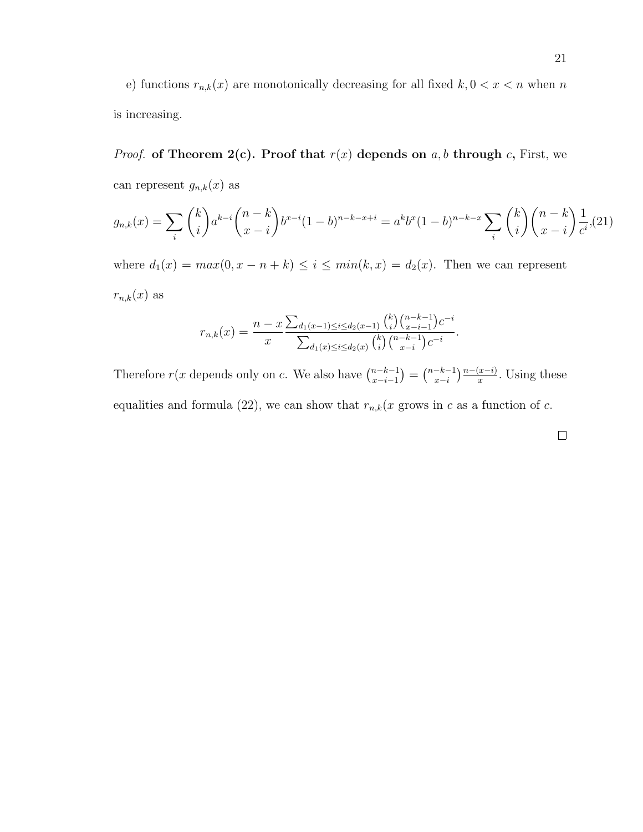e) functions  $r_{n,k}(x)$  are monotonically decreasing for all fixed  $k, 0 < x < n$  when n is increasing.

*Proof.* of Theorem 2(c). Proof that  $r(x)$  depends on a, b through c, First, we can represent  $g_{n,k}(x)$  as

$$
g_{n,k}(x) = \sum_{i} \binom{k}{i} a^{k-i} \binom{n-k}{x-i} b^{x-i} (1-b)^{n-k-x+i} = a^k b^x (1-b)^{n-k-x} \sum_{i} \binom{k}{i} \binom{n-k}{x-i} \frac{1}{c^i}, (21)
$$

where  $d_1(x) = max(0, x - n + k) \le i \le min(k, x) = d_2(x)$ . Then we can represent  $r_{n,k}(x)$  as

$$
r_{n,k}(x) = \frac{n-x \sum_{d_1(x-1) \le i \le d_2(x-1)} {k \choose i} {n-k-1 \choose x-i-1} c^{-i}}{\sum_{d_1(x) \le i \le d_2(x)} {k \choose i} {n-k-1 \choose x-i} c^{-i}}.
$$

Therefore  $r(x$  depends only on c. We also have  $\binom{n-k-1}{r-i-1}$  $\binom{n-k-1}{x-i-1} = \binom{n-k-1}{x-i}$  $\frac{-k-1}{x-i}$   $\frac{n-(x-i)}{x}$ . Using these equalities and formula (22), we can show that  $r_{n,k}(x)$  grows in c as a function of c.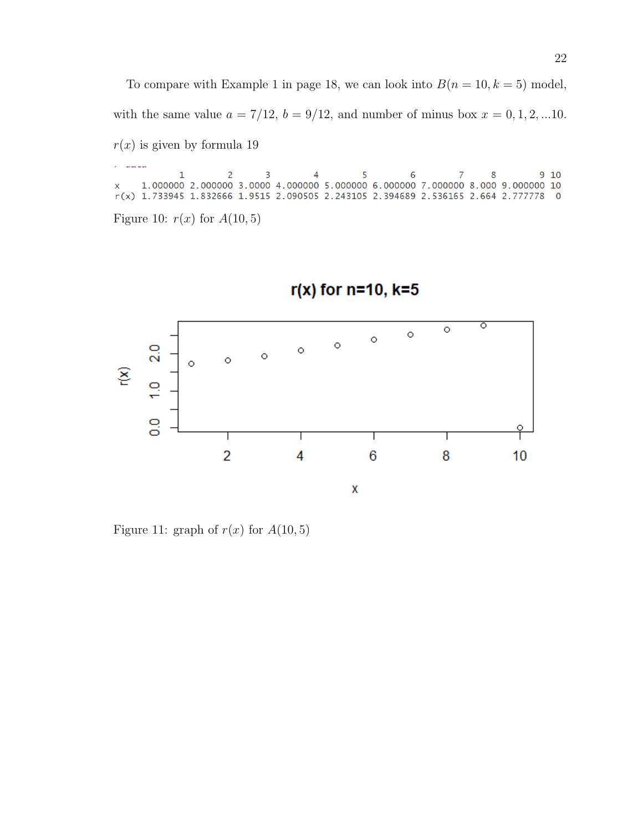To compare with Example 1 in page 18, we can look into  $B(n = 10, k = 5)$  model, with the same value  $a = 7/12$ ,  $b = 9/12$ , and number of minus box  $x = 0, 1, 2, ...10$ .  $r(x)$  is given by formula 19

 $\begin{array}{cccccccccccc} 1 & 2 & 3 & 4 & 5 & 6 & 7 & 8 & 9 & 10 \\ 1.000000 & 2.000000 & 3.0000 & 4.000000 & 5.000000 & 6.000000 & 7.000000 & 8.000 & 9.000000 & 10 \end{array}$ X r(x) 1.733945 1.832666 1.9515 2.090505 2.243105 2.394689 2.536165 2.664 2.777778 0 Figure 10:  $r(x)$  for  $A(10,5)$ 



# $r(x)$  for n=10, k=5

Figure 11: graph of  $r(x)$  for  $A(10,5)$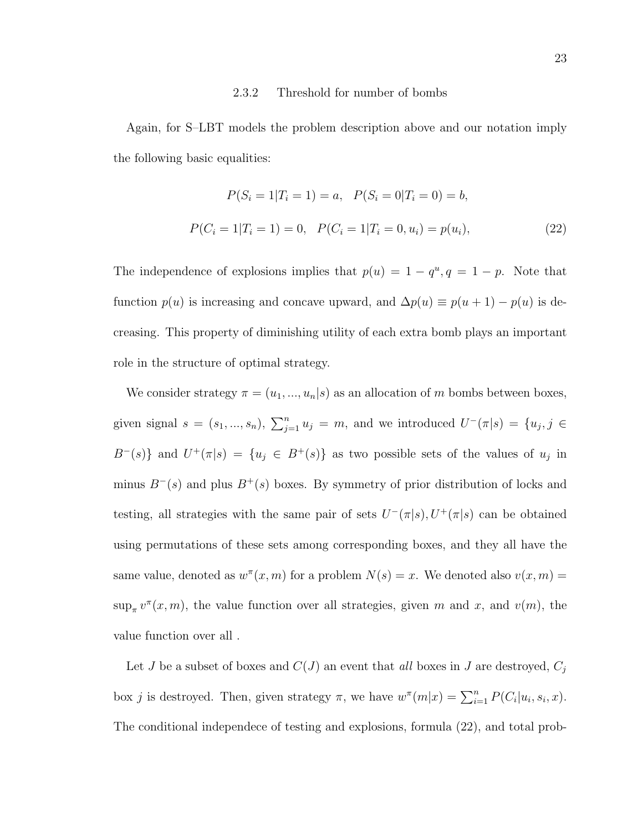#### 2.3.2 Threshold for number of bombs

Again, for S–LBT models the problem description above and our notation imply the following basic equalities:

$$
P(S_i = 1 | T_i = 1) = a, \quad P(S_i = 0 | T_i = 0) = b,
$$
  

$$
P(C_i = 1 | T_i = 1) = 0, \quad P(C_i = 1 | T_i = 0, u_i) = p(u_i),
$$
 (22)

The independence of explosions implies that  $p(u) = 1 - q^u, q = 1 - p$ . Note that function  $p(u)$  is increasing and concave upward, and  $\Delta p(u) \equiv p(u + 1) - p(u)$  is decreasing. This property of diminishing utility of each extra bomb plays an important role in the structure of optimal strategy.

We consider strategy  $\pi = (u_1, ..., u_n | s)$  as an allocation of m bombs between boxes, given signal  $s = (s_1, ..., s_n)$ ,  $\sum_{j=1}^n u_j = m$ , and we introduced  $U^-(\pi|s) = \{u_j, j \in$  $B^{-}(s)$ } and  $U^{+}(\pi|s) = \{u_j \in B^{+}(s)\}\$ as two possible sets of the values of  $u_j$  in minus  $B^{-}(s)$  and plus  $B^{+}(s)$  boxes. By symmetry of prior distribution of locks and testing, all strategies with the same pair of sets  $U^-(\pi|s)$ ,  $U^+(\pi|s)$  can be obtained using permutations of these sets among corresponding boxes, and they all have the same value, denoted as  $w^{\pi}(x, m)$  for a problem  $N(s) = x$ . We denoted also  $v(x, m) =$  $\sup_{\pi} v^{\pi}(x,m)$ , the value function over all strategies, given m and x, and  $v(m)$ , the value function over all .

Let J be a subset of boxes and  $C(J)$  an event that all boxes in J are destroyed,  $C_j$ box j is destroyed. Then, given strategy  $\pi$ , we have  $w^{\pi}(m|x) = \sum_{i=1}^{n} P(C_i|u_i, s_i, x)$ . The conditional independece of testing and explosions, formula (22), and total prob-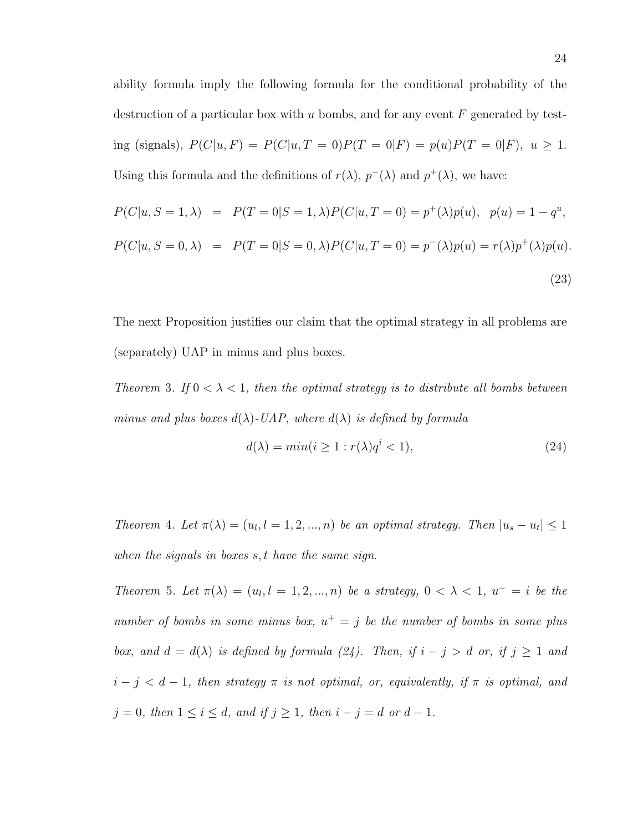ability formula imply the following formula for the conditional probability of the destruction of a particular box with u bombs, and for any event  $F$  generated by testing (signals),  $P(C|u, F) = P(C|u, T = 0)P(T = 0|F) = p(u)P(T = 0|F)$ ,  $u \ge 1$ . Using this formula and the definitions of  $r(\lambda)$ ,  $p^{-}(\lambda)$  and  $p^{+}(\lambda)$ , we have:

$$
P(C|u, S = 1, \lambda) = P(T = 0|S = 1, \lambda)P(C|u, T = 0) = p^{+}(\lambda)p(u), p(u) = 1 - q^{u},
$$
  

$$
P(C|u, S = 0, \lambda) = P(T = 0|S = 0, \lambda)P(C|u, T = 0) = p^{-}(\lambda)p(u) = r(\lambda)p^{+}(\lambda)p(u).
$$
\n(23)

The next Proposition justifies our claim that the optimal strategy in all problems are (separately) UAP in minus and plus boxes.

Theorem 3. If  $0 < \lambda < 1$ , then the optimal strategy is to distribute all bombs between minus and plus boxes  $d(\lambda)$ -UAP, where  $d(\lambda)$  is defined by formula

$$
d(\lambda) = \min(i \ge 1 : r(\lambda)q^i < 1),\tag{24}
$$

Theorem 4. Let  $\pi(\lambda) = (u_l, l = 1, 2, ..., n)$  be an optimal strategy. Then  $|u_s - u_t| \leq 1$ when the signals in boxes s, t have the same sign.

Theorem 5. Let  $\pi(\lambda) = (u_l, l = 1, 2, ..., n)$  be a strategy,  $0 < \lambda < 1$ ,  $u^- = i$  be the number of bombs in some minus box,  $u^+ = j$  be the number of bombs in some plus box, and  $d = d(\lambda)$  is defined by formula (24). Then, if  $i - j > d$  or, if  $j \ge 1$  and  $i - j < d - 1$ , then strategy  $\pi$  is not optimal, or, equivalently, if  $\pi$  is optimal, and  $j = 0$ , then  $1 \le i \le d$ , and if  $j \ge 1$ , then  $i - j = d$  or  $d - 1$ .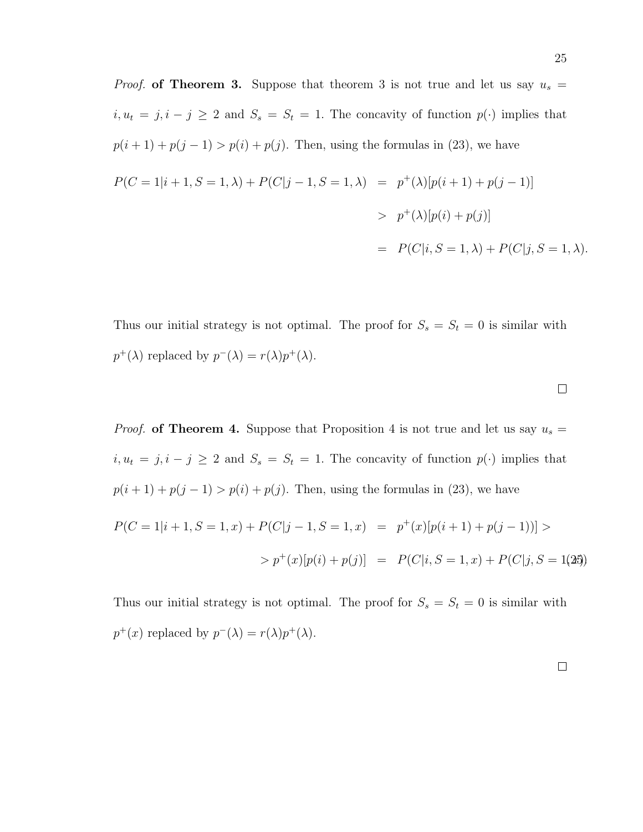*Proof.* of Theorem 3. Suppose that theorem 3 is not true and let us say  $u_s =$  $i, u_t = j, i - j \geq 2$  and  $S_s = S_t = 1$ . The concavity of function  $p(\cdot)$  implies that  $p(i + 1) + p(j - 1) > p(i) + p(j)$ . Then, using the formulas in (23), we have  $P(C = 1|i + 1, S = 1, \lambda) + P(C|j - 1, S = 1, \lambda) = p^+(\lambda)[p(i + 1) + p(j - 1)]$  $> p^{+}(\lambda)[p(i) + p(j)]$  $= P(C|i, S = 1, \lambda) + P(C|i, S = 1, \lambda).$ 

Thus our initial strategy is not optimal. The proof for  $S_s = S_t = 0$  is similar with  $p^+(\lambda)$  replaced by  $p^-(\lambda) = r(\lambda)p^+(\lambda)$ .

*Proof.* of Theorem 4. Suppose that Proposition 4 is not true and let us say  $u_s =$  $i, u_t = j, i - j \geq 2$  and  $S_s = S_t = 1$ . The concavity of function  $p(\cdot)$  implies that  $p(i + 1) + p(j - 1) > p(i) + p(j)$ . Then, using the formulas in (23), we have  $P(C=1|i+1, S=1, x) + P(C|j-1, S=1, x) = p^+(x)[p(i+1) + p(j-1))] >$  $\langle p^+(x)[p(i) + p(j)] \rangle = P(C|i, S = 1, x) + P(C|i, S = 1, 25).$ 

Thus our initial strategy is not optimal. The proof for  $S_s = S_t = 0$  is similar with  $p^+(x)$  replaced by  $p^-(\lambda) = r(\lambda)p^+(\lambda)$ .

 $\Box$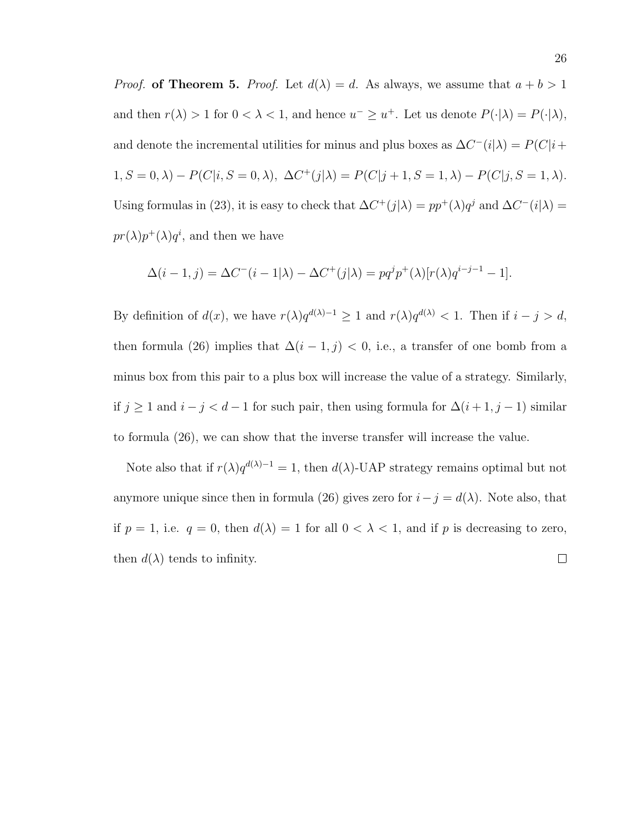*Proof.* of Theorem 5. *Proof.* Let  $d(\lambda) = d$ . As always, we assume that  $a + b > 1$ and then  $r(\lambda) > 1$  for  $0 < \lambda < 1$ , and hence  $u^- \geq u^+$ . Let us denote  $P(\cdot | \lambda) = P(\cdot | \lambda)$ , and denote the incremental utilities for minus and plus boxes as  $\Delta C^{-}(i|\lambda) = P(C|i +$  $1, S = 0, \lambda$ ) –  $P(C|i, S = 0, \lambda)$ ,  $\Delta C^{+}(j|\lambda) = P(C|j + 1, S = 1, \lambda) - P(C|j, S = 1, \lambda)$ . Using formulas in (23), it is easy to check that  $\Delta C^+(j|\lambda) = pp^+(\lambda)q^j$  and  $\Delta C^-(i|\lambda) =$  $pr(\lambda)p^{+}(\lambda)q^{i}$ , and then we have

$$
\Delta(i-1,j) = \Delta C^{-}(i-1|\lambda) - \Delta C^{+}(j|\lambda) = pq^{j}p^{+}(\lambda)[r(\lambda)q^{i-j-1} - 1].
$$

By definition of  $d(x)$ , we have  $r(\lambda)q^{d(\lambda)-1} \geq 1$  and  $r(\lambda)q^{d(\lambda)} < 1$ . Then if  $i - j > d$ , then formula (26) implies that  $\Delta(i-1,j) < 0$ , i.e., a transfer of one bomb from a minus box from this pair to a plus box will increase the value of a strategy. Similarly, if  $j \ge 1$  and  $i - j < d - 1$  for such pair, then using formula for  $\Delta(i + 1, j - 1)$  similar to formula (26), we can show that the inverse transfer will increase the value.

Note also that if  $r(\lambda)q^{d(\lambda)-1}=1$ , then  $d(\lambda)$ -UAP strategy remains optimal but not anymore unique since then in formula (26) gives zero for  $i-j = d(\lambda)$ . Note also, that if  $p = 1$ , i.e.  $q = 0$ , then  $d(\lambda) = 1$  for all  $0 < \lambda < 1$ , and if p is decreasing to zero, then  $d(\lambda)$  tends to infinity.  $\Box$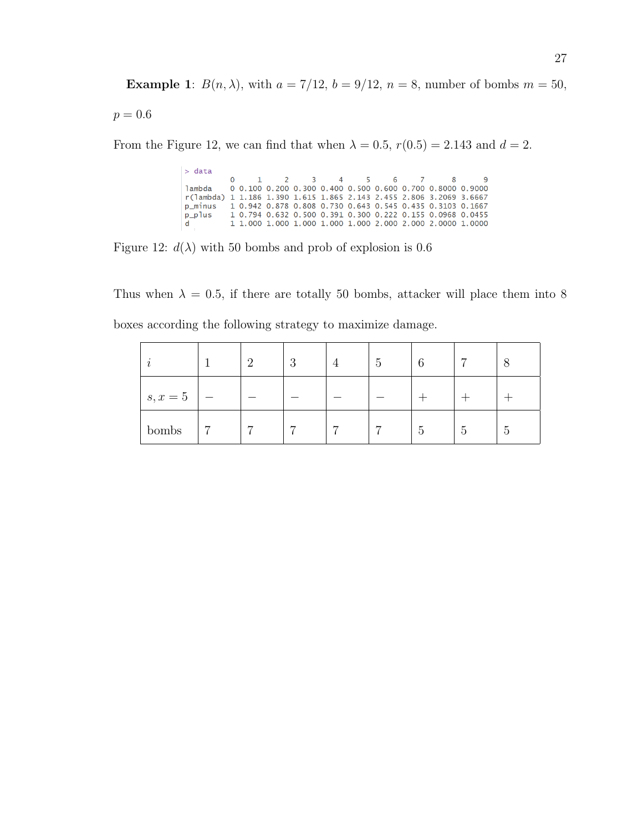**Example 1:**  $B(n, \lambda)$ , with  $a = 7/12$ ,  $b = 9/12$ ,  $n = 8$ , number of bombs  $m = 50$ ,

 $p = 0.6$ 

From the Figure 12, we can find that when  $\lambda = 0.5$ ,  $r(0.5) = 2.143$  and  $d = 2$ .

 $>$  data  $\overline{\mathbf{3}}$  $\overline{5}$  $\pmb{0}$  $\mathbf 1$  $\overline{2}$  $\overline{\mathbf{4}}$  $\mathsf 6$  $\overline{7}$ 8 9 lambda 0 0.100 0.200 0.300 0.400 0.500 0.600 0.700 0.8000 0.9000 r(lambda) 1 1.186 1.390 1.615 1.865 2.143 2.455 2.806 3.2069 3.6667 p\_minus 1 0.942 0.878 0.808 0.730 0.643 0.545 0.435 0.3103 0.1667 1 0.794 0.632 0.500 0.391 0.300 0.222 0.155 0.0968 0.0455 p\_plus 1 1.000 1.000 1.000 1.000 1.000 2.000 2.000 2.0000 1.0000  $\mathsf{d}$ 

Figure 12:  $d(\lambda)$  with 50 bombs and prob of explosion is 0.6

Thus when  $\lambda = 0.5$ , if there are totally 50 bombs, attacker will place them into 8 boxes according the following strategy to maximize damage.

|            | $\Omega$ | റ<br>್ರ        |                | $\mathcal{C}$  | 6 | $\overline{ }$  |   |
|------------|----------|----------------|----------------|----------------|---|-----------------|---|
| $s, x = 5$ |          |                |                |                |   |                 |   |
| bombs      | −        | $\overline{ }$ | $\overline{ }$ | $\overline{ }$ | 5 | $\ddot{\Omega}$ | Ð |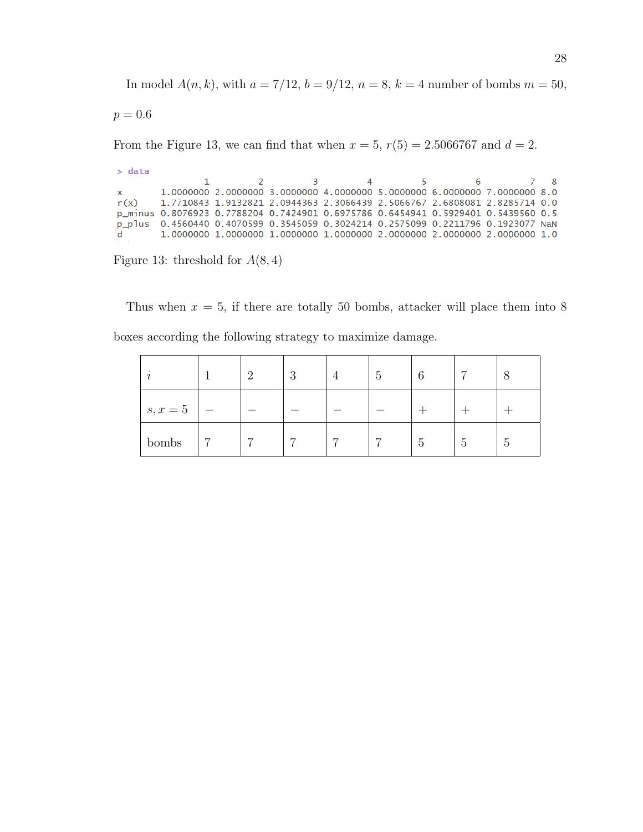In model  $A(n, k)$ , with  $a = 7/12$ ,  $b = 9/12$ ,  $n = 8$ ,  $k = 4$  number of bombs  $m = 50$ ,

$$
p = 0.6
$$

From the Figure 13, we can find that when  $x = 5$ ,  $r(5) = 2.5066767$  and  $d = 2$ .

```
> data
                                 \overline{2}\overline{7}\overline{3}\overline{4}5
                                                                                    6
                                                                                                      8
                    \mathbf{1}1.0000000 2.0000000 3.0000000 4.0000000 5.0000000 6.0000000 7.0000000 8.0
X
r(x)1.7710843 1.9132821 2.0944363 2.3066439 2.5066767 2.6808081 2.8285714 0.0
p_minus 0.8076923 0.7788204 0.7424901 0.6975786 0.6454941 0.5929401 0.5439560 0.5
p_plus 0.4560440 0.4070599 0.3545059 0.3024214 0.2575099 0.2211796 0.1923077 NaN
          1.\,0000000\  \  1.\,0000000\  \  1.\,0000000\  \  1.\,0000000\  \  2.\,0000000\  \  2.\,0000000\  \  2.\,0000000\  \  1.\,0\mathsf{d}
```
Figure 13: threshold for  $A(8, 4)$ 

Thus when  $x = 5$ , if there are totally 50 bombs, attacker will place them into 8 boxes according the following strategy to maximize damage.

|            | $\Omega$ | റ<br>್ರ        | 4              | $\mathcal{C}$ | 6                                         | ⇁ | ◠               |
|------------|----------|----------------|----------------|---------------|-------------------------------------------|---|-----------------|
| $s, x = 5$ |          |                |                |               |                                           |   |                 |
| bombs      | ⇁        | $\overline{ }$ | $\overline{ }$ | −             | $\overline{\phantom{0}}$<br>$\mathcal{O}$ | Ð | $\ddot{\Omega}$ |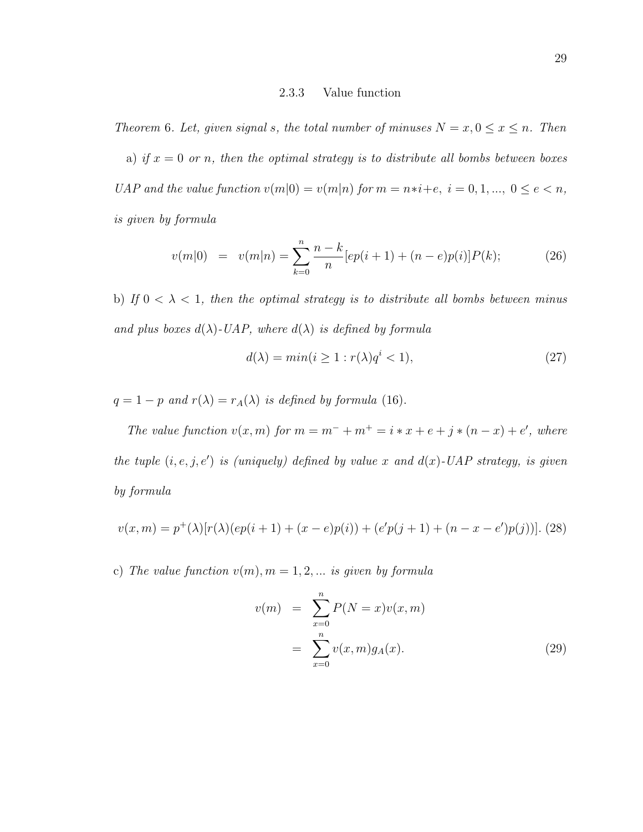#### 2.3.3 Value function

Theorem 6. Let, given signal s, the total number of minuses  $N = x, 0 \le x \le n$ . Then

a) if  $x = 0$  or n, then the optimal strategy is to distribute all bombs between boxes UAP and the value function  $v(m|0) = v(m|n)$  for  $m = n*i + e$ ,  $i = 0, 1, ..., 0 \le e < n$ , is given by formula

$$
v(m|0) = v(m|n) = \sum_{k=0}^{n} \frac{n-k}{n} [ep(i+1) + (n-e)p(i)]P(k); \qquad (26)
$$

b) If  $0 < \lambda < 1$ , then the optimal strategy is to distribute all bombs between minus and plus boxes  $d(\lambda)$ -UAP, where  $d(\lambda)$  is defined by formula

$$
d(\lambda) = \min(i \ge 1 : r(\lambda)q^i < 1),\tag{27}
$$

 $q = 1 - p$  and  $r(\lambda) = r_A(\lambda)$  is defined by formula (16).

The value function  $v(x, m)$  for  $m = m^- + m^+ = i * x + e + j * (n - x) + e'$ , where the tuple  $(i, e, j, e')$  is (uniquely) defined by value x and  $d(x)$ -UAP strategy, is given by formula

$$
v(x,m) = p^{+}(\lambda)[r(\lambda)(ep(i+1) + (x - e)p(i)) + (e'p(j+1) + (n - x - e')p(j))].
$$
 (28)

c) The value function  $v(m)$ ,  $m = 1, 2, \ldots$  is given by formula

$$
v(m) = \sum_{x=0}^{n} P(N=x)v(x,m)
$$
  
= 
$$
\sum_{x=0}^{n} v(x,m)g_A(x).
$$
 (29)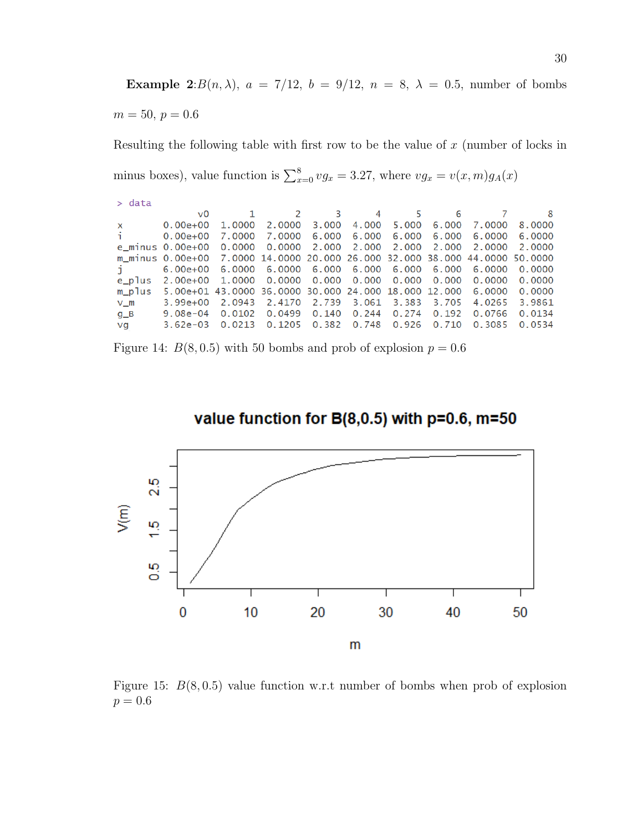Example 2: $B(n, \lambda)$ ,  $a = 7/12$ ,  $b = 9/12$ ,  $n = 8$ ,  $\lambda = 0.5$ , number of bombs  $m = 50, p = 0.6$ 

Resulting the following table with first row to be the value of  $x$  (number of locks in minus boxes), value function is  $\sum_{x=0}^{8} v g_x = 3.27$ , where  $v g_x = v(x, m) g_A(x)$ 

| $>$ data     |                                                                              |        |                                       |              |       |       |       |        |        |
|--------------|------------------------------------------------------------------------------|--------|---------------------------------------|--------------|-------|-------|-------|--------|--------|
|              | v0                                                                           |        |                                       | $2 \t 3$     | 4     | 5     | 6     |        | - 8    |
| $\mathsf{x}$ | $0.00e + 00$                                                                 | 1.0000 |                                       | 2.0000 3.000 | 4.000 | 5.000 | 6.000 | 7.0000 | 8.0000 |
| fi.          | $0.00e + 00$                                                                 |        | 7.0000 7.0000 6.000 6.000 6.000       |              |       |       | 6.000 | 6.0000 | 6.0000 |
|              | e minus 0.00e+00 0.0000 0.0000 2.000 2.000 2.000 2.000                       |        |                                       |              |       |       |       | 2.0000 | 2.0000 |
|              | m minus 0.00e+00  7.0000 14.0000 20.000 26.000 32.000 38.000 44.0000 50.0000 |        |                                       |              |       |       |       |        |        |
|              | 6.00e+00 6.0000 6.0000 6.000 6.000 6.000 6.000                               |        |                                       |              |       |       |       | 6.0000 | 0.0000 |
| e_plus       | 2.00e+00 1.0000 0.0000 0.000 0.000 0.000 0.000                               |        |                                       |              |       |       |       | 0.0000 | 0.0000 |
| m_plus       | 5.00e+01 43.0000 36.0000 30.000 24.000 18.000 12.000 6.0000                  |        |                                       |              |       |       |       |        | 0.0000 |
| $V$ m        | $3.99e+00$                                                                   | 2.0943 | 2.4170 2.739 3.061 3.383              |              |       |       | 3.705 | 4.0265 | 3.9861 |
| $g_B$        | 9.08e-04                                                                     | 0.0102 | 0.0499  0.140  0.244  0.274           |              |       |       | 0.192 | 0.0766 | 0.0134 |
| vg           | $3.62e - 03$                                                                 |        | 0.0213 0.1205 0.382 0.748 0.926 0.710 |              |       |       |       | 0.3085 | 0.0534 |
|              |                                                                              |        |                                       |              |       |       |       |        |        |

Figure 14:  $B(8, 0.5)$  with 50 bombs and prob of explosion  $p = 0.6$ 



value function for B(8,0.5) with p=0.6, m=50

Figure 15:  $B(8, 0.5)$  value function w.r.t number of bombs when prob of explosion  $p = 0.6$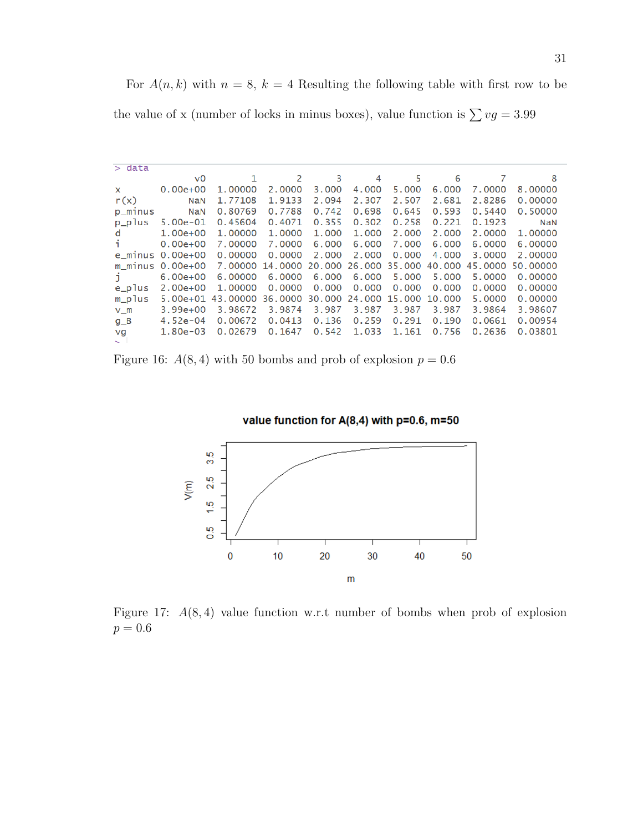For  $A(n, k)$  with  $n = 8$ ,  $k = 4$  Resulting the following table with first row to be

the value of x (number of locks in minus boxes), value function is  $\sum v g = 3.99$ 

| $>$ data     |                      |              |                              |        |       |                      |        |        |                  |
|--------------|----------------------|--------------|------------------------------|--------|-------|----------------------|--------|--------|------------------|
|              | v0                   | $\mathbf{1}$ | 2                            | 3      | 4     | 5                    | 6      | 7      | 8                |
| X.           | $0.00e + 00$         | 1.00000      | 2.0000                       | 3.000  | 4,000 | 5.000                | 6.000  | 7.0000 | 8.00000          |
| r(x)         | <b>NaN</b>           | 1.77108      | 1.9133                       | 2.094  | 2.307 | 2.507                | 2.681  | 2.8286 | 0.00000          |
| p_minus      | NaN                  | 0.80769      | 0.7788                       | 0.742  | 0.698 | 0.645                | 0.593  | 0.5440 | 0.50000          |
| p_plus       | $5.00e-01$           | 0.45604      | 0.4071                       | 0.355  | 0.302 | 0.258                | 0.221  | 0.1923 | <b>NaN</b>       |
| d            | $1.00e+00$           | 1,00000      | 1,0000                       | 1.000  | 1.000 | 2.000                | 2,000  | 2.0000 | 1.00000          |
|              | $0.00e + 00$         | 7.00000      | 7,0000                       | 6.000  | 6.000 | 7.000                | 6.000  | 6.0000 | 6.00000          |
| e minus      | $0.00e{+}00$         | 0.00000      | 0.0000                       | 2,000  | 2,000 | 0.000                | 4,000  | 3.0000 | 2.00000          |
|              | $m$ minus $0.00e+00$ | 7.00000      | 14.0000 20.000 26.000 35.000 |        |       |                      | 40.000 |        | 45.0000 50.00000 |
| $\mathbf{J}$ | $6.00e+00$           | 6,00000      | 6,0000                       | 6.000  | 6.000 | 5,000                | 5,000  | 5,0000 | 0.00000          |
| e_plus       | $2.00e+00$           | 1.00000      | 0.0000                       | 0.000  | 0.000 | 0.000                | 0.000  | 0.0000 | 0.00000          |
| m_plus       | $5.00e + 01$         | 43.00000     | 36,0000                      | 30.000 |       | 24,000 15,000 10,000 |        | 5.0000 | 0.00000          |
| $V$ $m$      | $3.99e+00$           | 3.98672      | 3.9874                       | 3.987  | 3.987 | 3.987                | 3.987  | 3.9864 | 3.98607          |
| $g_B$        | $4.52e-04$           | 0.00672      | 0.0413                       | 0.136  | 0.259 | 0.291                | 0.190  | 0.0661 | 0.00954          |
| vg           | $1.80e-03$           | 0.02679      | 0.1647                       | 0.542  | 1.033 | 1.161                | 0.756  | 0.2636 | 0.03801          |

Figure 16:  $A(8, 4)$  with 50 bombs and prob of explosion  $p = 0.6$ 





Figure 17:  $A(8, 4)$  value function w.r.t number of bombs when prob of explosion  $p = 0.6$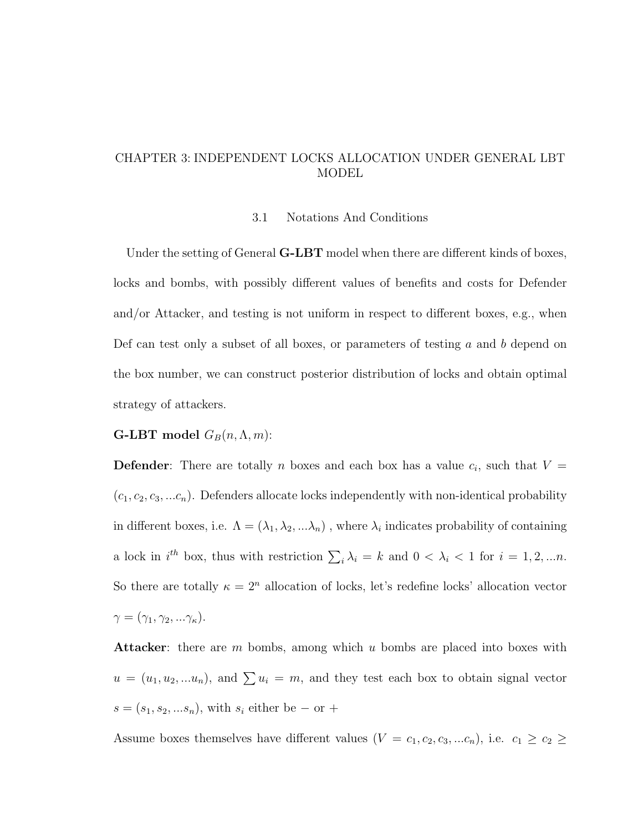# CHAPTER 3: INDEPENDENT LOCKS ALLOCATION UNDER GENERAL LBT MODEL

#### 3.1 Notations And Conditions

Under the setting of General  $\mathbf{G}\text{-}\mathbf{L}\mathbf{B}\mathbf{T}$  model when there are different kinds of boxes, locks and bombs, with possibly different values of benefits and costs for Defender and/or Attacker, and testing is not uniform in respect to different boxes, e.g., when Def can test only a subset of all boxes, or parameters of testing  $a$  and  $b$  depend on the box number, we can construct posterior distribution of locks and obtain optimal strategy of attackers.

### **G-LBT** model  $G_B(n, \Lambda, m)$ :

**Defender**: There are totally *n* boxes and each box has a value  $c_i$ , such that  $V =$  $(c_1, c_2, c_3, ... c_n)$ . Defenders allocate locks independently with non-identical probability in different boxes, i.e.  $\Lambda = (\lambda_1, \lambda_2, \ldots \lambda_n)$ , where  $\lambda_i$  indicates probability of containing a lock in  $i^{th}$  box, thus with restriction  $\sum_i \lambda_i = k$  and  $0 < \lambda_i < 1$  for  $i = 1, 2, ...n$ . So there are totally  $\kappa = 2^n$  allocation of locks, let's redefine locks' allocation vector  $\gamma = (\gamma_1, \gamma_2, ... \gamma_\kappa).$ 

**Attacker:** there are  $m$  bombs, among which  $u$  bombs are placed into boxes with  $u = (u_1, u_2, ... u_n)$ , and  $\sum u_i = m$ , and they test each box to obtain signal vector  $s = (s_1, s_2, ... s_n)$ , with  $s_i$  either be – or +

Assume boxes themselves have different values  $(V = c_1, c_2, c_3, ... c_n)$ , i.e.  $c_1 \ge c_2 \ge$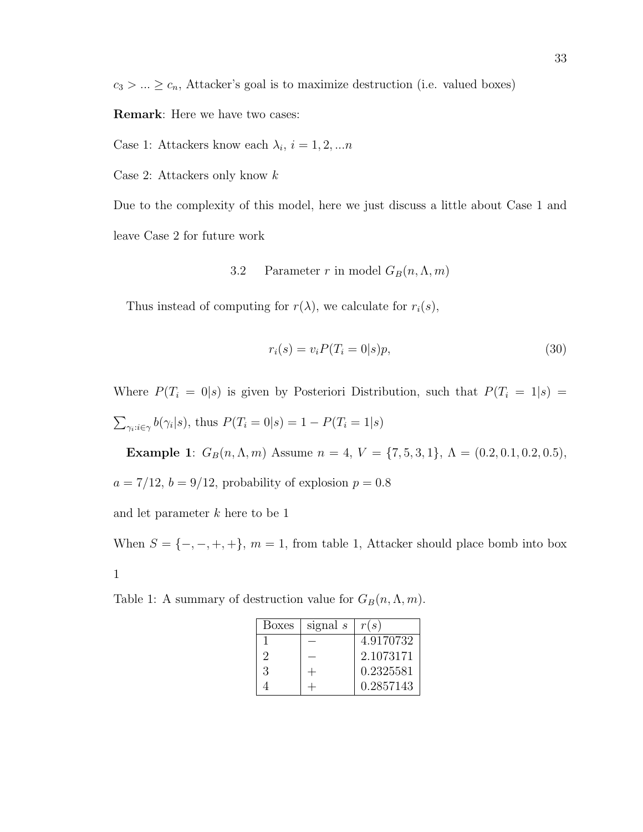$c_3 > ... \geq c_n$ , Attacker's goal is to maximize destruction (i.e. valued boxes)

Remark: Here we have two cases:

Case 1: Attackers know each  $\lambda_i$ ,  $i = 1, 2, ...n$ 

Case 2: Attackers only know  $k$ 

Due to the complexity of this model, here we just discuss a little about Case 1 and leave Case 2 for future work

3.2 Parameter r in model  $G_B(n, \Lambda, m)$ 

Thus instead of computing for  $r(\lambda)$ , we calculate for  $r_i(s)$ ,

$$
r_i(s) = v_i P(T_i = 0|s)p,
$$
\n
$$
(30)
$$

Where  $P(T_i = 0|s)$  is given by Posteriori Distribution, such that  $P(T_i = 1|s)$  =  $\sum_{\gamma_i:i\in\gamma} b(\gamma_i|s)$ , thus  $P(T_i=0|s) = 1 - P(T_i=1|s)$ 

Example 1:  $G_B(n, \Lambda, m)$  Assume  $n = 4$ ,  $V = \{7, 5, 3, 1\}$ ,  $\Lambda = (0.2, 0.1, 0.2, 0.5)$ ,  $a = 7/12$ ,  $b = 9/12$ , probability of explosion  $p = 0.8$ 

and let parameter  $k$  here to be 1

When  $S = \{-, -, +, +\}$ ,  $m = 1$ , from table 1, Attacker should place bomb into box 1

Table 1: A summary of destruction value for  $G_B(n, \Lambda, m)$ .

| <b>Boxes</b> | signal $s$ | r(s)      |
|--------------|------------|-----------|
|              |            | 4.9170732 |
| 2            |            | 2.1073171 |
| 3            |            | 0.2325581 |
|              |            | 0.2857143 |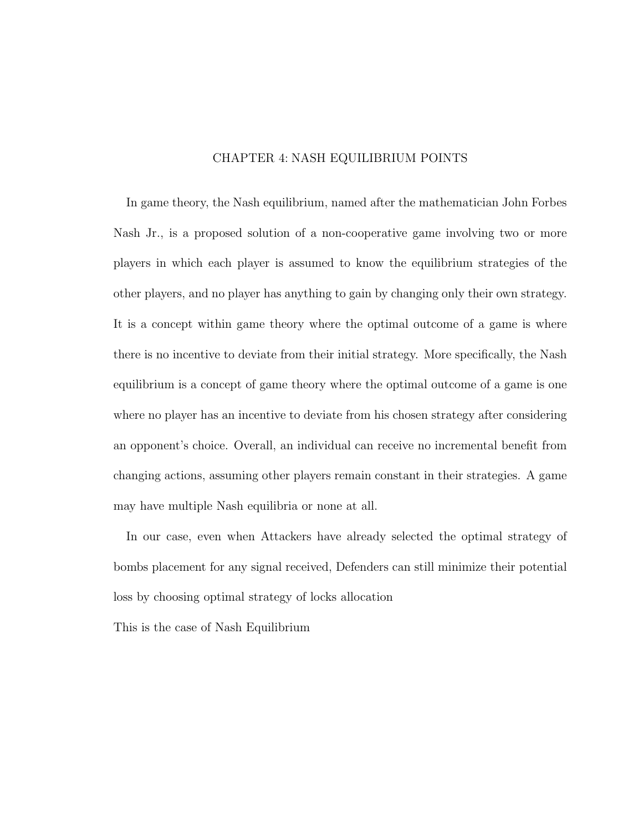## CHAPTER 4: NASH EQUILIBRIUM POINTS

In game theory, the Nash equilibrium, named after the mathematician John Forbes Nash Jr., is a proposed solution of a non-cooperative game involving two or more players in which each player is assumed to know the equilibrium strategies of the other players, and no player has anything to gain by changing only their own strategy. It is a concept within game theory where the optimal outcome of a game is where there is no incentive to deviate from their initial strategy. More specifically, the Nash equilibrium is a concept of game theory where the optimal outcome of a game is one where no player has an incentive to deviate from his chosen strategy after considering an opponent's choice. Overall, an individual can receive no incremental benefit from changing actions, assuming other players remain constant in their strategies. A game may have multiple Nash equilibria or none at all.

In our case, even when Attackers have already selected the optimal strategy of bombs placement for any signal received, Defenders can still minimize their potential loss by choosing optimal strategy of locks allocation

This is the case of Nash Equilibrium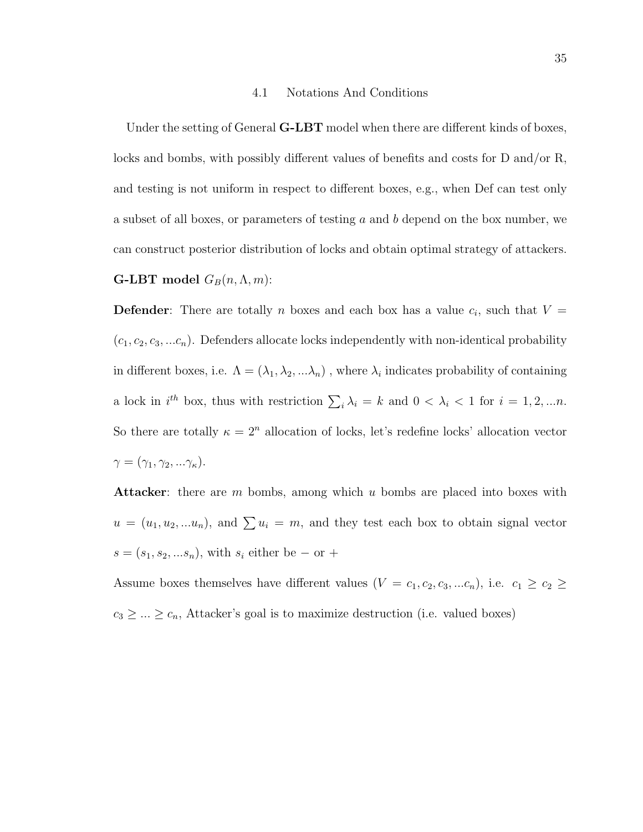#### 4.1 Notations And Conditions

Under the setting of General  $G-LBT$  model when there are different kinds of boxes, locks and bombs, with possibly different values of benefits and costs for D and/or R, and testing is not uniform in respect to different boxes, e.g., when Def can test only a subset of all boxes, or parameters of testing a and b depend on the box number, we can construct posterior distribution of locks and obtain optimal strategy of attackers. **G-LBT** model  $G_B(n, \Lambda, m)$ :

**Defender**: There are totally *n* boxes and each box has a value  $c_i$ , such that  $V =$  $(c_1, c_2, c_3, \ldots c_n)$ . Defenders allocate locks independently with non-identical probability in different boxes, i.e.  $\Lambda = (\lambda_1, \lambda_2, ... \lambda_n)$ , where  $\lambda_i$  indicates probability of containing a lock in  $i^{th}$  box, thus with restriction  $\sum_i \lambda_i = k$  and  $0 < \lambda_i < 1$  for  $i = 1, 2, ...n$ . So there are totally  $\kappa = 2^n$  allocation of locks, let's redefine locks' allocation vector  $\gamma = (\gamma_1, \gamma_2, ... \gamma_\kappa).$ 

**Attacker:** there are  $m$  bombs, among which  $u$  bombs are placed into boxes with  $u = (u_1, u_2, ... u_n)$ , and  $\sum u_i = m$ , and they test each box to obtain signal vector  $s = (s_1, s_2, ... s_n)$ , with  $s_i$  either be – or +

Assume boxes themselves have different values  $(V = c_1, c_2, c_3, ... c_n)$ , i.e.  $c_1 \geq c_2 \geq$  $c_3 \geq \ldots \geq c_n$ , Attacker's goal is to maximize destruction (i.e. valued boxes)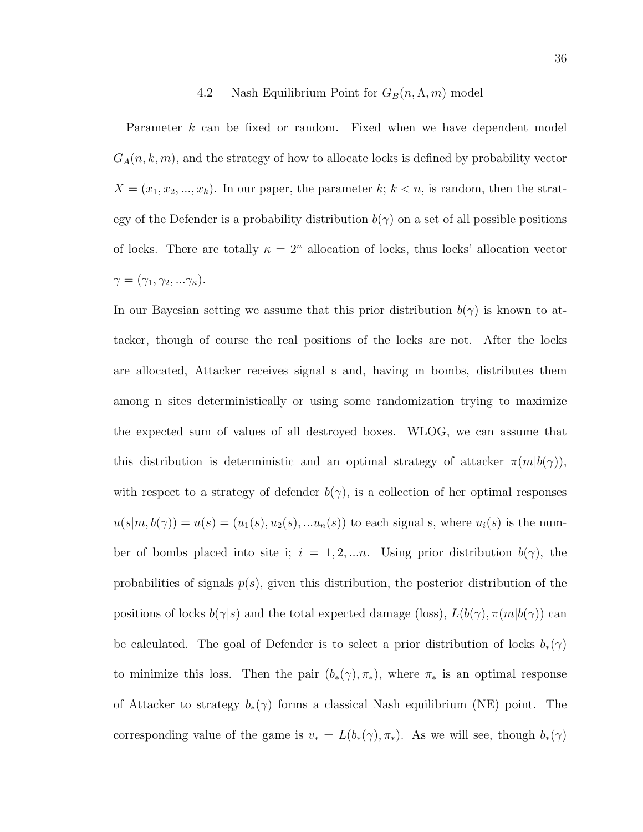# 4.2 Nash Equilibrium Point for  $G_B(n, \Lambda, m)$  model

Parameter k can be fixed or random. Fixed when we have dependent model  $G_A(n, k, m)$ , and the strategy of how to allocate locks is defined by probability vector  $X = (x_1, x_2, ..., x_k)$ . In our paper, the parameter k;  $k < n$ , is random, then the strategy of the Defender is a probability distribution  $b(\gamma)$  on a set of all possible positions of locks. There are totally  $\kappa = 2^n$  allocation of locks, thus locks' allocation vector  $\gamma = (\gamma_1, \gamma_2, ... \gamma_\kappa).$ 

In our Bayesian setting we assume that this prior distribution  $b(\gamma)$  is known to attacker, though of course the real positions of the locks are not. After the locks are allocated, Attacker receives signal s and, having m bombs, distributes them among n sites deterministically or using some randomization trying to maximize the expected sum of values of all destroyed boxes. WLOG, we can assume that this distribution is deterministic and an optimal strategy of attacker  $\pi(m|b(\gamma))$ , with respect to a strategy of defender  $b(\gamma)$ , is a collection of her optimal responses  $u(s|m, b(\gamma)) = u(s) = (u_1(s), u_2(s), \dots u_n(s))$  to each signal s, where  $u_i(s)$  is the number of bombs placed into site i;  $i = 1, 2, \dots n$ . Using prior distribution  $b(\gamma)$ , the probabilities of signals  $p(s)$ , given this distribution, the posterior distribution of the positions of locks  $b(\gamma|s)$  and the total expected damage (loss),  $L(b(\gamma), \pi(m|b(\gamma))$  can be calculated. The goal of Defender is to select a prior distribution of locks  $b_*(\gamma)$ to minimize this loss. Then the pair  $(b_*(\gamma), \pi_*)$ , where  $\pi_*$  is an optimal response of Attacker to strategy  $b_*(\gamma)$  forms a classical Nash equilibrium (NE) point. The corresponding value of the game is  $v_* = L(b_*(\gamma), \pi_*)$ . As we will see, though  $b_*(\gamma)$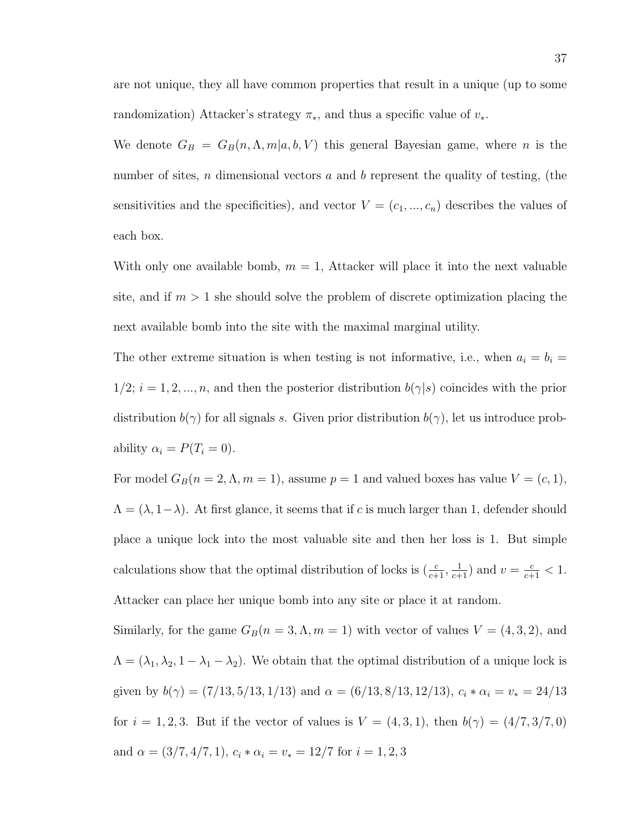are not unique, they all have common properties that result in a unique (up to some randomization) Attacker's strategy  $\pi_*$ , and thus a specific value of  $v_*$ .

We denote  $G_B = G_B(n, \Lambda, m | a, b, V)$  this general Bayesian game, where n is the number of sites, n dimensional vectors a and b represent the quality of testing, (the sensitivities and the specificities), and vector  $V = (c_1, ..., c_n)$  describes the values of each box.

With only one available bomb,  $m = 1$ , Attacker will place it into the next valuable site, and if  $m > 1$  she should solve the problem of discrete optimization placing the next available bomb into the site with the maximal marginal utility.

The other extreme situation is when testing is not informative, i.e., when  $a_i = b_i =$  $1/2$ ;  $i = 1, 2, ..., n$ , and then the posterior distribution  $b(\gamma|s)$  coincides with the prior distribution  $b(\gamma)$  for all signals s. Given prior distribution  $b(\gamma)$ , let us introduce probability  $\alpha_i = P(T_i = 0)$ .

For model  $G_B(n = 2, \Lambda, m = 1)$ , assume  $p = 1$  and valued boxes has value  $V = (c, 1)$ ,  $\Lambda = (\lambda, 1-\lambda)$ . At first glance, it seems that if c is much larger than 1, defender should place a unique lock into the most valuable site and then her loss is 1. But simple calculations show that the optimal distribution of locks is  $(\frac{c}{c+1}, \frac{1}{c+1})$  and  $v = \frac{c}{c+1} < 1$ . Attacker can place her unique bomb into any site or place it at random.

Similarly, for the game  $G_B(n = 3, \Lambda, m = 1)$  with vector of values  $V = (4, 3, 2)$ , and  $\Lambda = (\lambda_1, \lambda_2, 1 - \lambda_1 - \lambda_2)$ . We obtain that the optimal distribution of a unique lock is given by  $b(\gamma) = (7/13, 5/13, 1/13)$  and  $\alpha = (6/13, 8/13, 12/13), c_i * \alpha_i = v_* = 24/13$ for  $i = 1, 2, 3$ . But if the vector of values is  $V = (4, 3, 1)$ , then  $b(\gamma) = (4/7, 3/7, 0)$ and  $\alpha = (3/7, 4/7, 1), c_i * \alpha_i = v_* = 12/7$  for  $i = 1, 2, 3$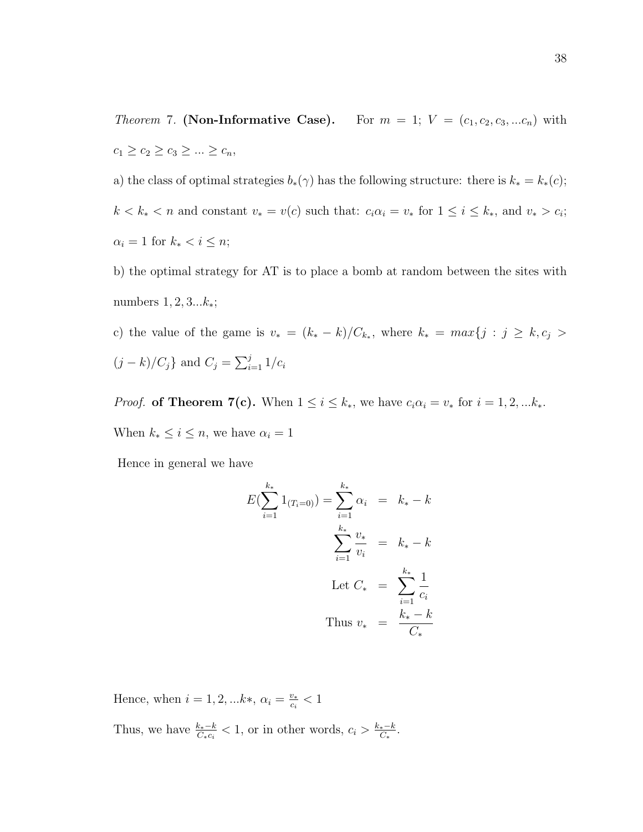*Theorem 7.* (Non-Informative Case). For  $m = 1$ ;  $V = (c_1, c_2, c_3, ... c_n)$  with  $c_1 \ge c_2 \ge c_3 \ge ... \ge c_n,$ 

a) the class of optimal strategies  $b_*(\gamma)$  has the following structure: there is  $k_* = k_*(c)$ ;  $k < k_* < n$  and constant  $v_* = v(c)$  such that:  $c_i \alpha_i = v_*$  for  $1 \leq i \leq k_*$ , and  $v_* > c_i$ ;  $\alpha_i = 1$  for  $k_* < i \leq n$ ;

b) the optimal strategy for AT is to place a bomb at random between the sites with numbers  $1, 2, 3...k_*;$ 

c) the value of the game is  $v_* = (k_* - k)/C_{k_*}$ , where  $k_* = max\{j : j \ge k, c_j > k_*\}$  $(j - k)/C_j$ } and  $C_j = \sum_{i=1}^j 1/c_i$ 

*Proof.* of Theorem 7(c). When  $1 \le i \le k_*$ , we have  $c_i \alpha_i = v_*$  for  $i = 1, 2, ... k_*$ . When  $k_* \leq i \leq n$ , we have  $\alpha_i = 1$ 

Hence in general we have

$$
E(\sum_{i=1}^{k_*} 1_{(T_i=0)}) = \sum_{i=1}^{k_*} \alpha_i = k_* - k
$$

$$
\sum_{i=1}^{k_*} \frac{v_*}{v_i} = k_* - k
$$

$$
Let C_* = \sum_{i=1}^{k_*} \frac{1}{c_i}
$$

$$
Thus v_* = \frac{k_* - k}{C_*}
$$

Hence, when  $i = 1, 2, \ldots k*, \alpha_i = \frac{v_{*}}{c_i}$  $\frac{v_*}{c_i} < 1$ Thus, we have  $\frac{k_*-k}{C_*c_i} < 1$ , or in other words,  $c_i > \frac{k_*-k}{C_*}$  $\frac{e^{-k}}{C_*}.$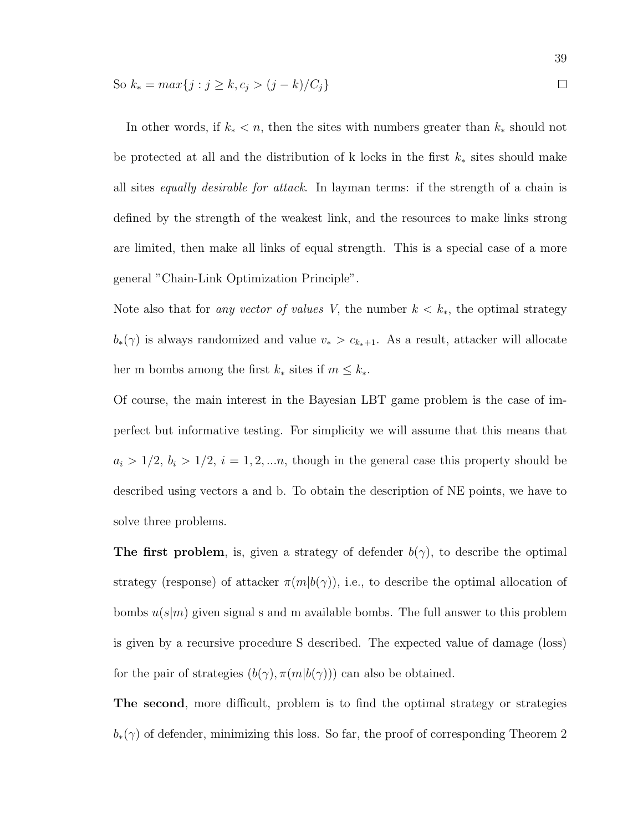So 
$$
k_* = \max\{j : j \geq k, c_j > (j - k)/C_j\}
$$

39

In other words, if  $k_* < n$ , then the sites with numbers greater than  $k_*$  should not be protected at all and the distribution of k locks in the first  $k_*$  sites should make all sites equally desirable for attack. In layman terms: if the strength of a chain is defined by the strength of the weakest link, and the resources to make links strong are limited, then make all links of equal strength. This is a special case of a more general "Chain-Link Optimization Principle".

Note also that for any vector of values V, the number  $k < k_*$ , the optimal strategy  $b_*(\gamma)$  is always randomized and value  $v_* > c_{k_*+1}$ . As a result, attacker will allocate her m bombs among the first  $k_*$  sites if  $m \leq k_*$ .

Of course, the main interest in the Bayesian LBT game problem is the case of imperfect but informative testing. For simplicity we will assume that this means that  $a_i > 1/2, b_i > 1/2, i = 1, 2, \ldots n$ , though in the general case this property should be described using vectors a and b. To obtain the description of NE points, we have to solve three problems.

The first problem, is, given a strategy of defender  $b(\gamma)$ , to describe the optimal strategy (response) of attacker  $\pi(m|b(\gamma))$ , i.e., to describe the optimal allocation of bombs  $u(s|m)$  given signal s and m available bombs. The full answer to this problem is given by a recursive procedure S described. The expected value of damage (loss) for the pair of strategies  $(b(\gamma), \pi(m|b(\gamma)))$  can also be obtained.

The second, more difficult, problem is to find the optimal strategy or strategies  $b_*(\gamma)$  of defender, minimizing this loss. So far, the proof of corresponding Theorem 2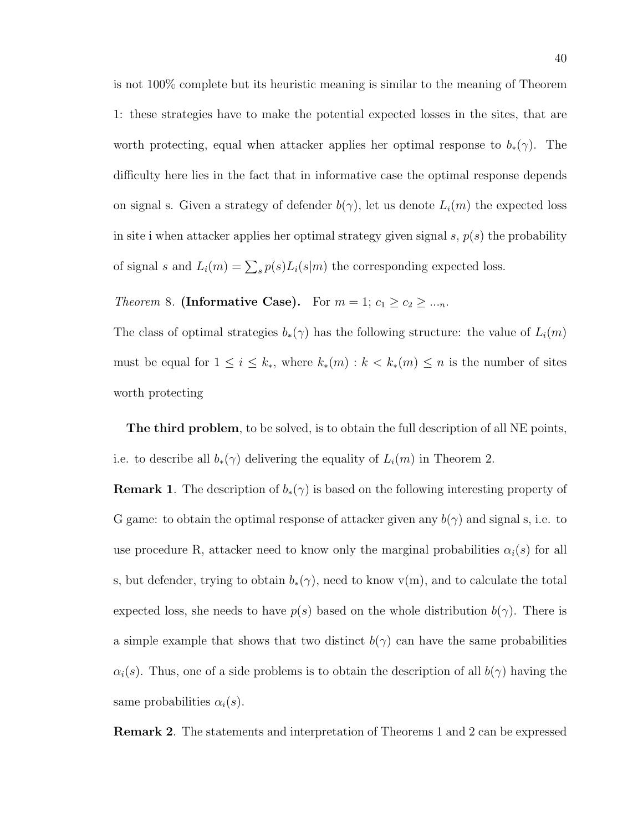is not 100% complete but its heuristic meaning is similar to the meaning of Theorem 1: these strategies have to make the potential expected losses in the sites, that are worth protecting, equal when attacker applies her optimal response to  $b_*(\gamma)$ . The difficulty here lies in the fact that in informative case the optimal response depends on signal s. Given a strategy of defender  $b(\gamma)$ , let us denote  $L_i(m)$  the expected loss in site i when attacker applies her optimal strategy given signal  $s, p(s)$  the probability of signal s and  $L_i(m) = \sum_s p(s) L_i(s|m)$  the corresponding expected loss.

# Theorem 8. (Informative Case). For  $m = 1$ ;  $c_1 \ge c_2 \ge ..._n$ .

The class of optimal strategies  $b_*(\gamma)$  has the following structure: the value of  $L_i(m)$ must be equal for  $1 \leq i \leq k_*$ , where  $k_*(m) : k < k_*(m) \leq n$  is the number of sites worth protecting

The third problem, to be solved, is to obtain the full description of all NE points, i.e. to describe all  $b_*(\gamma)$  delivering the equality of  $L_i(m)$  in Theorem 2.

**Remark 1.** The description of  $b_*(\gamma)$  is based on the following interesting property of G game: to obtain the optimal response of attacker given any  $b(\gamma)$  and signal s, i.e. to use procedure R, attacker need to know only the marginal probabilities  $\alpha_i(s)$  for all s, but defender, trying to obtain  $b_*(\gamma)$ , need to know v(m), and to calculate the total expected loss, she needs to have  $p(s)$  based on the whole distribution  $b(\gamma)$ . There is a simple example that shows that two distinct  $b(\gamma)$  can have the same probabilities  $\alpha_i(s)$ . Thus, one of a side problems is to obtain the description of all  $b(\gamma)$  having the same probabilities  $\alpha_i(s)$ .

Remark 2. The statements and interpretation of Theorems 1 and 2 can be expressed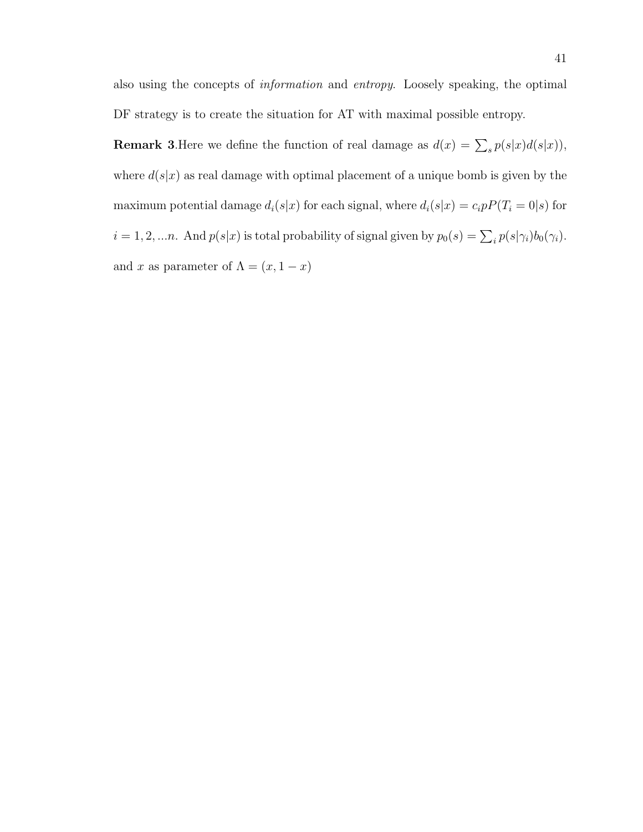also using the concepts of information and entropy. Loosely speaking, the optimal DF strategy is to create the situation for AT with maximal possible entropy.

**Remark 3.** Here we define the function of real damage as  $d(x) = \sum_s p(s|x)d(s|x)$ , where  $d(s|x)$  as real damage with optimal placement of a unique bomb is given by the maximum potential damage  $d_i(s|x)$  for each signal, where  $d_i(s|x) = c_i p P(T_i = 0|s)$  for  $i = 1, 2, \dots n$ . And  $p(s|x)$  is total probability of signal given by  $p_0(s) = \sum_i p(s|\gamma_i) b_0(\gamma_i)$ . and x as parameter of  $\Lambda = (x, 1-x)$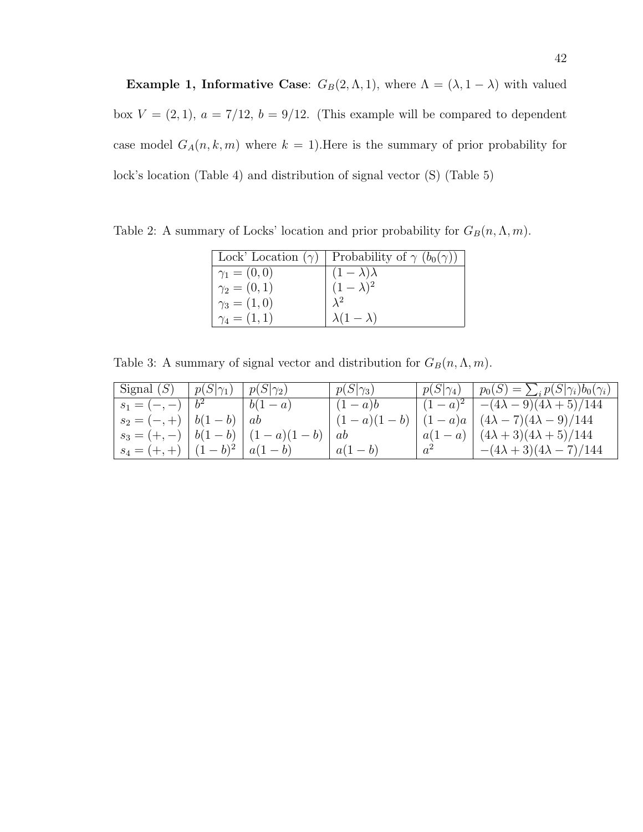Example 1, Informative Case:  $G_B(2, \Lambda, 1)$ , where  $\Lambda = (\lambda, 1 - \lambda)$  with valued box  $V = (2, 1)$ ,  $a = 7/12$ ,  $b = 9/12$ . (This example will be compared to dependent case model  $G_A(n, k, m)$  where  $k = 1$ . Here is the summary of prior probability for lock's location (Table 4) and distribution of signal vector (S) (Table 5)

|                     | Lock' Location $(\gamma)$   Probability of $\gamma$ $(b_0(\gamma))$ |
|---------------------|---------------------------------------------------------------------|
| $\gamma_1 = (0,0)$  | $(1 - \lambda)\lambda$                                              |
| $\gamma_2 = (0,1)$  | $(1-\lambda)^2$                                                     |
| $\gamma_3 = (1,0)$  | $\lambda^2$                                                         |
| $\gamma_4 = (1, 1)$ | $\lambda(1-\lambda)$                                                |

Table 2: A summary of Locks' location and prior probability for  $G_B(n, \Lambda, m)$ .

Table 3: A summary of signal vector and distribution for  $G_B(n, \Lambda, m)$ .

| Signal $(S)$   $p(S \gamma_1)$      | $ p(S \gamma_2) $                   | $ p(S \gamma_3) $   | $  p(S \gamma_4)   p_0(S) = \sum_i p(S \gamma_i) b_0(\gamma_i)$ |
|-------------------------------------|-------------------------------------|---------------------|-----------------------------------------------------------------|
| $s_1 = (-,-)   b^2$ $  b(1-a)$      |                                     | $\left(1-a\right)b$ | $ (1-a)^2  - (4\lambda - 9)(4\lambda + 5)/144 $                 |
| $s_2 = (-,+)   b(1-b)   ab$         |                                     |                     | $(1-a)(1-b)$   $(1-a)a$   $(4\lambda-7)(4\lambda-9)/144$        |
|                                     | $s_3 = (+,-)   b(1-b)   (1-a)(1-b)$ | ab                  | $ a(1-a)  (4\lambda+3)(4\lambda+5)/144$                         |
| $s_4 = (+, +)$ $(1-b)^2$ $  a(1-b)$ |                                     | $a(1-b)$            | $ a^2  - (4\lambda + 3)(4\lambda - 7)/144$                      |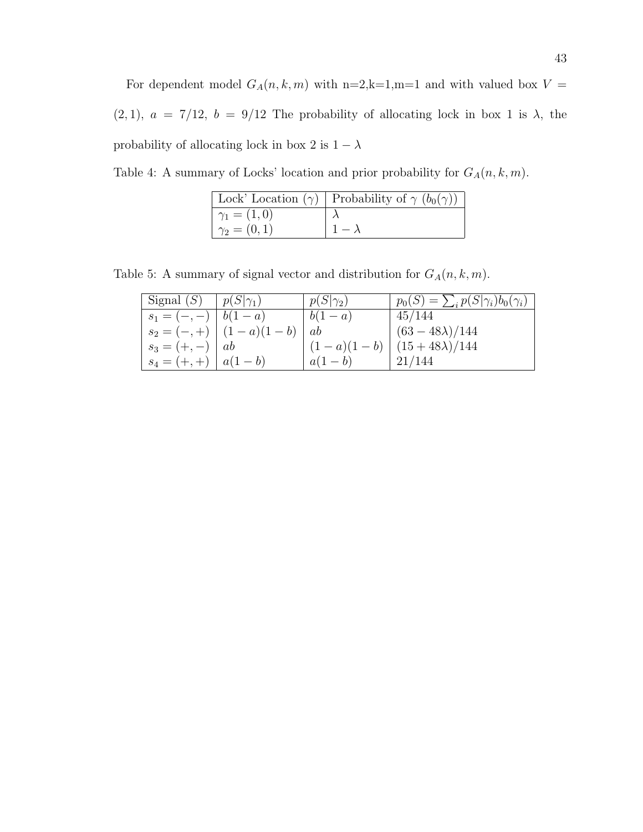For dependent model  $G_A(n, k, m)$  with n=2,k=1,m=1 and with valued box  $V =$ (2, 1),  $a = 7/12$ ,  $b = 9/12$  The probability of allocating lock in box 1 is  $\lambda$ , the probability of allocating lock in box 2 is  $1-\lambda$ 

Table 4: A summary of Locks' location and prior probability for  $G_A(n, k, m)$ .

|                    | [Lock' Location $(\gamma)$   Probability of $\gamma$ $(b_0(\gamma))$ |
|--------------------|----------------------------------------------------------------------|
| $\gamma_1 = (1,0)$ |                                                                      |
| $\gamma_2 = (0,1)$ | $1-\lambda$                                                          |

Table 5: A summary of signal vector and distribution for  $G_A(n, k, m)$ .

| Signal $(S)$            | $p(S \gamma_1)$               | $p(S \gamma_2)$   | $p_0(S) = \sum_i p(S \gamma_i) b_0(\gamma_i)$ |
|-------------------------|-------------------------------|-------------------|-----------------------------------------------|
| $s_1 = (-,-)   b(1-a)$  |                               | $\mid b(1-a)\mid$ | 45/144                                        |
|                         | $ s_2 = (-,+)   (1-a)(1-b)  $ | ab                | $(63-48\lambda)/144$                          |
| $ s_3 = (+,-)   ab$     |                               |                   | $(1-a)(1-b)$ $(15+48\lambda)/144$             |
| $ s_4 = (+,+)   a(1-b)$ |                               | $ a(1-b) $        | 21/144                                        |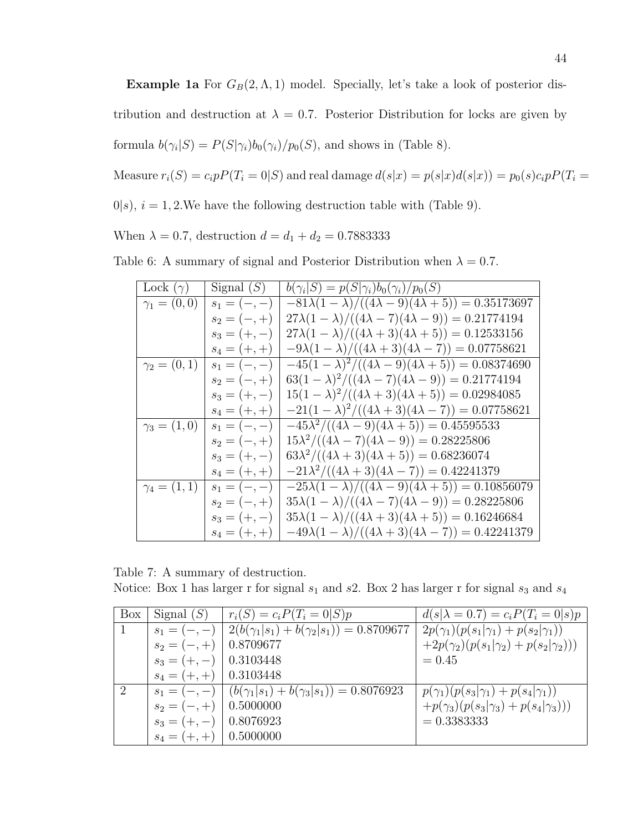**Example 1a** For  $G_B(2, \Lambda, 1)$  model. Specially, let's take a look of posterior distribution and destruction at  $\lambda = 0.7$ . Posterior Distribution for locks are given by formula  $b(\gamma_i|S) = P(S|\gamma_i)b_0(\gamma_i)/p_0(S)$ , and shows in (Table 8).

Measure  $r_i(S) = c_i p P(T_i = 0|S)$  and real damage  $d(s|x) = p(s|x)d(s|x) = p_0(s)c_i p P(T_i = 0|S)$ 

 $0|s$ ,  $i = 1, 2$ . We have the following destruction table with (Table 9).

When  $\lambda = 0.7$ , destruction  $d = d_1 + d_2 = 0.7883333$ 

|  | Table 6: A summary of signal and Posterior Distribution when $\lambda = 0.7$ . |  |  |  |  |  |
|--|--------------------------------------------------------------------------------|--|--|--|--|--|
|--|--------------------------------------------------------------------------------|--|--|--|--|--|

| Lock $(\gamma)$     | Signal $(S)$   | $b(\gamma_i S) = p(S \gamma_i)b_0(\gamma_i)/p_0(S)$             |
|---------------------|----------------|-----------------------------------------------------------------|
| $\gamma_1 = (0,0)$  | $s_1 = (-,-)$  | $-81\lambda(1-\lambda)/((4\lambda-9)(4\lambda+5)) = 0.35173697$ |
|                     | $s_2 = (-, +)$ | $27\lambda(1-\lambda)/((4\lambda-7)(4\lambda-9)) = 0.21774194$  |
|                     | $s_3 = (+,-)$  | $27\lambda(1-\lambda)/((4\lambda+3)(4\lambda+5)) = 0.12533156$  |
|                     | $s_4 = (+,+)$  | $-9\lambda(1-\lambda)/((4\lambda+3)(4\lambda-7)) = 0.07758621$  |
| $\gamma_2 = (0,1)$  | $s_1 = (-,-)$  | $-45(1-\lambda)^2/((4\lambda-9)(4\lambda+5)) = 0.08374690$      |
|                     | $s_2 = (-, +)$ | $63(1-\lambda)^2/((4\lambda-7)(4\lambda-9)) = 0.21774194$       |
|                     | $s_3 = (+,-)$  | $15(1 - \lambda)^2/((4\lambda + 3)(4\lambda + 5)) = 0.02984085$ |
|                     | $s_4 = (+,+)$  | $-21(1-\lambda)^2/((4\lambda+3)(4\lambda-7)) = 0.07758621$      |
| $\gamma_3 = (1,0)$  | $s_1 = (-,-)$  | $-45\lambda^2/((4\lambda-9)(4\lambda+5)) = 0.45595533$          |
|                     | $s_2 = (-, +)$ | $15\lambda^2/((4\lambda-7)(4\lambda-9)) = 0.28225806$           |
|                     | $s_3 = (+,-)$  | $63\lambda^2/((4\lambda+3)(4\lambda+5)) = 0.68236074$           |
|                     | $s_4 = (+,+)$  | $-21\lambda^2/((4\lambda+3)(4\lambda-7)) = 0.42241379$          |
| $\gamma_4 = (1, 1)$ | $s_1 = (-,-)$  | $-25\lambda(1-\lambda)/((4\lambda-9)(4\lambda+5)) = 0.10856079$ |
|                     | $s_2 = (-, +)$ | $35\lambda(1-\lambda)/((4\lambda-7)(4\lambda-9)) = 0.28225806$  |
|                     | $s_3 = (+,-)$  | $35\lambda(1-\lambda)/((4\lambda+3)(4\lambda+5)) = 0.16246684$  |
|                     | $s_4 = (+, +)$ | $-49\lambda(1-\lambda)/((4\lambda+3)(4\lambda-7)) = 0.42241379$ |

Table 7: A summary of destruction.

Notice: Box 1 has larger r for signal  $s_1$  and  $s_2$ . Box 2 has larger r for signal  $s_3$  and  $s_4$ 

| Box            | Signal $(S)$               | $r_i(S) = c_i P(T_i = 0 S)p$                                    | $d(s \lambda = 0.7) = c_i P(T_i = 0 s)p$          |
|----------------|----------------------------|-----------------------------------------------------------------|---------------------------------------------------|
|                | $s_1 = (-,-)$              | $2(b(\gamma_1 s_1)+b(\gamma_2 s_1))=0.8709677$                  | $2p(\gamma_1)(p(s_1 \gamma_1)+p(s_2 \gamma_1))$   |
|                | $s_2 = (-, +)$             | 0.8709677                                                       | $+2p(\gamma_2)(p(s_1 \gamma_2)+p(s_2 \gamma_2)))$ |
|                | $s_3 = (+,-)$   0.3103448  |                                                                 | $= 0.45$                                          |
|                | $s_4 = (+, +)$   0.3103448 |                                                                 |                                                   |
| $\overline{2}$ |                            | $s_1 = (-,-)   (b(\gamma_1 s_1) + b(\gamma_3 s_1)) = 0.8076923$ | $p(\gamma_1)(p(s_3 \gamma_1)+p(s_4 \gamma_1))$    |
|                | $s_2 = (-, +)$             | 0.5000000                                                       | $+p(\gamma_3)(p(s_3 \gamma_3)+p(s_4 \gamma_3)))$  |
|                | $s_3 = (+,-)$   0.8076923  |                                                                 | $= 0.33833333$                                    |
|                | $s_4 = (+, +)$   0.5000000 |                                                                 |                                                   |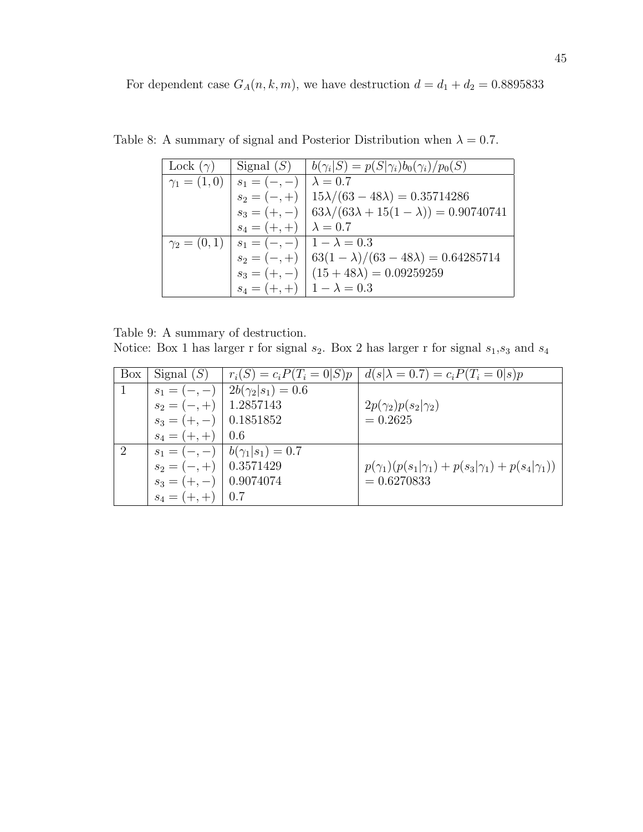For dependent case  $G_A(n, k, m)$ , we have destruction  $d = d_1 + d_2 = 0.8895833$ 

| Lock $(\gamma)$ |                                                      | Signal (S) $ b(\gamma_i S) = p(S \gamma_i)b_0(\gamma_i)/p_0(S)$    |
|-----------------|------------------------------------------------------|--------------------------------------------------------------------|
|                 | $\gamma_1 = (1,0)   s_1 = (-,-)$                     | $\lambda = 0.7$                                                    |
|                 |                                                      | $s_2 = (-,+)$   $15\lambda/(63-48\lambda) = 0.35714286$            |
|                 |                                                      | $s_3 = (+,-)$   $63\lambda/(63\lambda+15(1-\lambda)) = 0.90740741$ |
|                 | $s_4 = (+, +) \mid \lambda = 0.7$                    |                                                                    |
|                 | $\gamma_2 = (0,1)   s_1 = (-,-)   1 - \lambda = 0.3$ |                                                                    |
|                 |                                                      | $s_2 = (-,+)$   $63(1 - \lambda)/(63 - 48\lambda) = 0.64285714$    |
|                 |                                                      | $s_3 = (+,-)$ $(15 + 48\lambda) = 0.09259259$                      |
|                 | $s_4 = (+, +)$   $1 - \lambda = 0.3$                 |                                                                    |

Table 8: A summary of signal and Posterior Distribution when  $\lambda = 0.7$ .

Table 9: A summary of destruction. Notice: Box 1 has larger r for signal  $s_2$ . Box 2 has larger r for signal  $s_1, s_3$  and  $s_4$ 

| Box           | Signal $(S)$              |                                        | $r_i(S) = c_i P(T_i = 0 S)p \mid d(s \lambda = 0.7) = c_i P(T_i = 0 s)p$ |
|---------------|---------------------------|----------------------------------------|--------------------------------------------------------------------------|
|               |                           | $s_1 = (-,-)   2b(\gamma_2 s_1) = 0.6$ |                                                                          |
|               | $s_2 = (-,+)$ 1.2857143   |                                        | $2p(\gamma_2)p(s_2 \gamma_2)$                                            |
|               | $s_3 = (+,-)$ 0.1851852   |                                        | $= 0.2625$                                                               |
|               | $s_4 = (+,+)$ 0.6         |                                        |                                                                          |
| $\mathcal{D}$ |                           | $s_1 = (-,-)   b(\gamma_1 s_1) = 0.7$  |                                                                          |
|               | $s_2 = (-,+)$ 0.3571429   |                                        | $p(\gamma_1)(p(s_1 \gamma_1)+p(s_3 \gamma_1)+p(s_4 \gamma_1))$           |
|               | $s_3 = (+,-)$   0.9074074 |                                        | $= 0.6270833$                                                            |
|               | $s_4 = (+,+)$ 0.7         |                                        |                                                                          |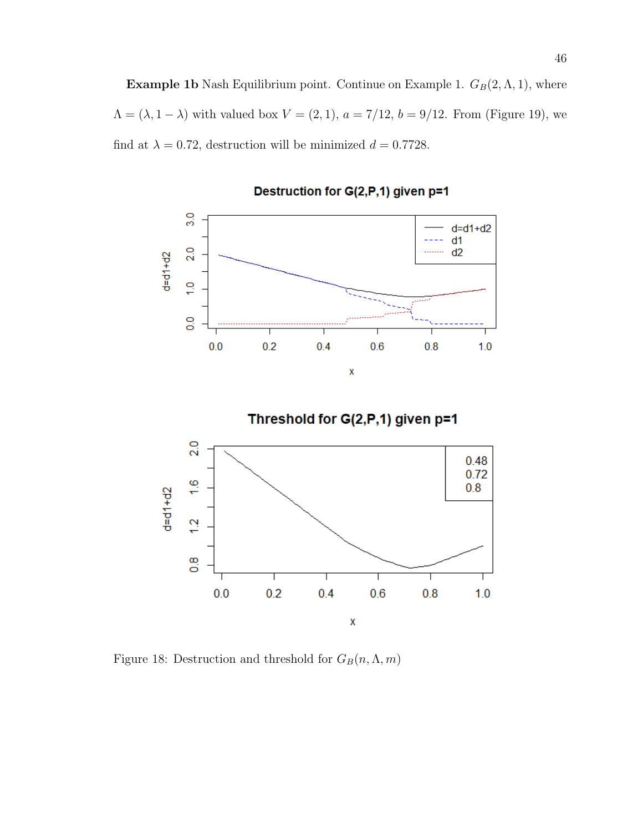**Example 1b** Nash Equilibrium point. Continue on Example 1.  $G_B(2, \Lambda, 1)$ , where  $\Lambda = (\lambda, 1 - \lambda)$  with valued box  $V = (2, 1), a = 7/12, b = 9/12$ . From (Figure 19), we find at  $\lambda = 0.72$ , destruction will be minimized  $d = 0.7728$ .



Destruction for G(2,P,1) given p=1

Threshold for G(2,P,1) given p=1



Figure 18: Destruction and threshold for  $G_B(n, \Lambda, m)$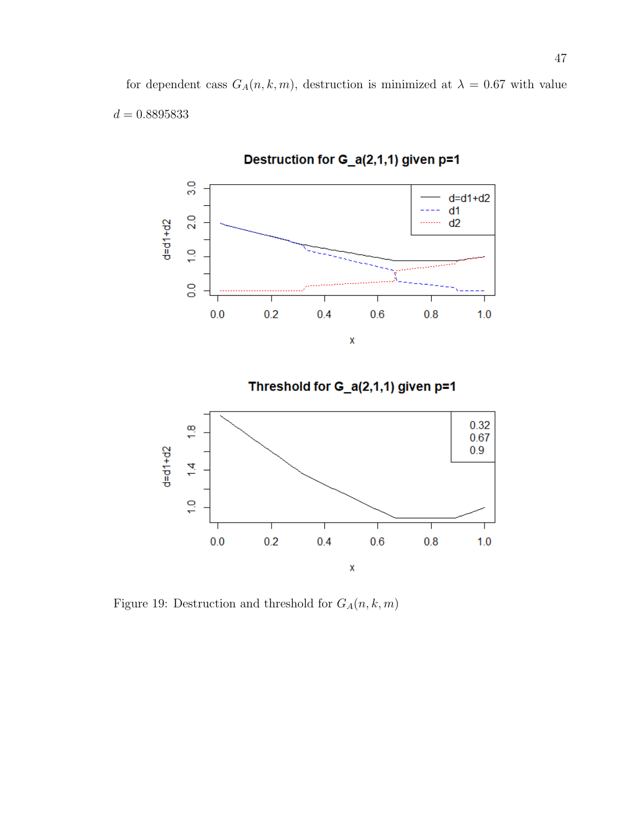for dependent cass  $G_A(n, k, m)$ , destruction is minimized at  $\lambda = 0.67$  with value  $d=0.8895833\,$ 



Figure 19: Destruction and threshold for  ${\cal G}_{\cal A}(n,k,m)$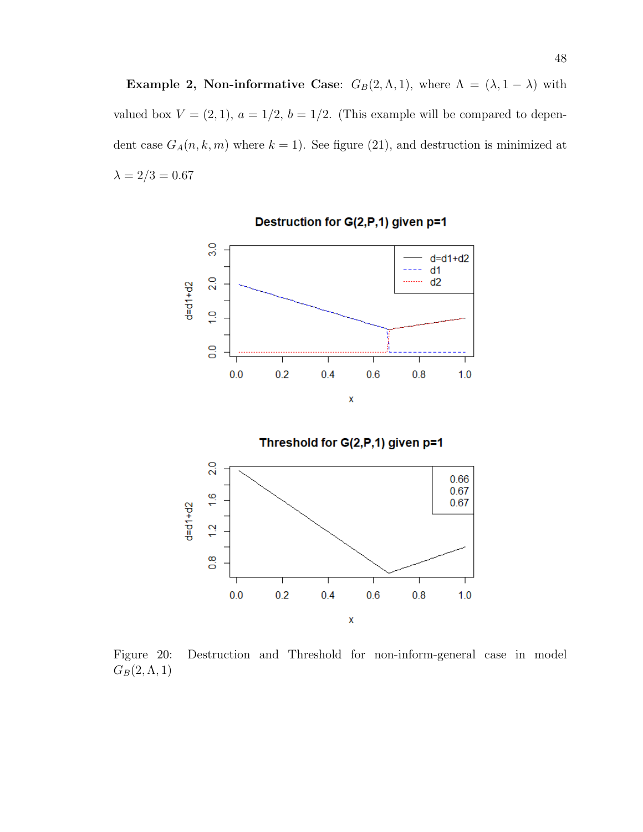Example 2, Non-informative Case:  $G_B(2, \Lambda, 1)$ , where  $\Lambda = (\lambda, 1 - \lambda)$  with valued box  $V = (2, 1)$ ,  $a = 1/2$ ,  $b = 1/2$ . (This example will be compared to dependent case  $G_A(n, k, m)$  where  $k = 1$ ). See figure (21), and destruction is minimized at  $\lambda=2/3=0.67$ 



Destruction for G(2,P,1) given p=1



Figure 20: Destruction and Threshold for non-inform-general case in model  $G_B(2,\Lambda,1)$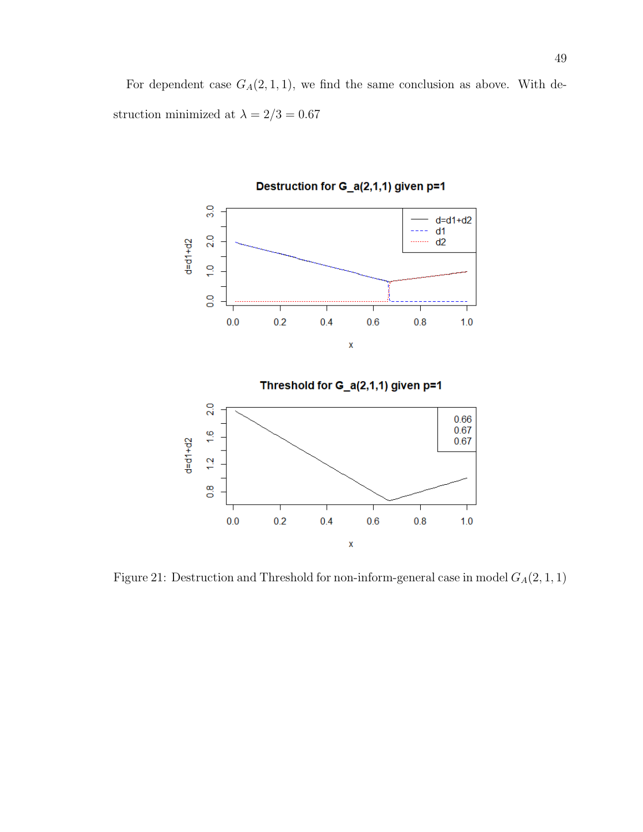For dependent case  $G_A(2,1,1)$ , we find the same conclusion as above. With destruction minimized at  $\lambda=2/3=0.67$ 



Destruction for G\_a(2,1,1) given p=1



Figure 21: Destruction and Threshold for non-inform-general case in model  ${\cal G}_A(2,1,1)$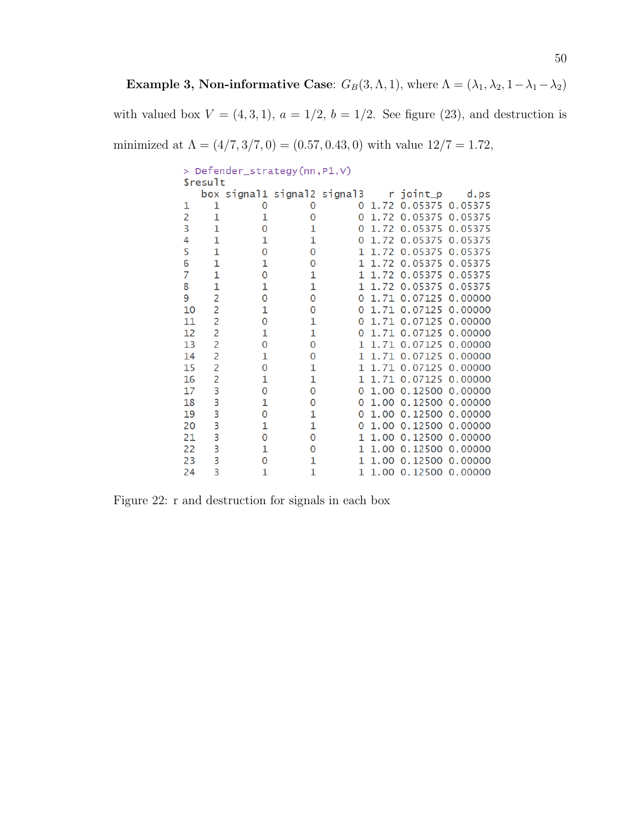Example 3, Non-informative Case:  $G_B(3, \Lambda, 1)$ , where  $\Lambda = (\lambda_1, \lambda_2, 1-\lambda_1-\lambda_2)$ 

with valued box  $V = (4, 3, 1), a = 1/2, b = 1/2$ . See figure (23), and destruction is

minimized at  $\Lambda = (4/7, 3/7, 0) = (0.57, 0.43, 0)$  with value  $12/7 = 1.72$ ,

| > Defender_strategy(nn, P1, V) |                |   |                             |          |      |                 |                 |  |  |  |  |
|--------------------------------|----------------|---|-----------------------------|----------|------|-----------------|-----------------|--|--|--|--|
| \$result                       |                |   |                             |          |      |                 |                 |  |  |  |  |
|                                |                |   | box signal1 signal2 signal3 |          |      | r joint_p       | d.ps            |  |  |  |  |
| 1                              | 1              | 0 | 0                           | O        | 1.72 | 0.05375 0.05375 |                 |  |  |  |  |
| $\overline{2}$                 | 1              | 1 | 0                           | 0        | 1.72 | 0.05375         | 0.05375         |  |  |  |  |
| 3                              | 1              | 0 | 1                           | 0        | 1.72 | 0.05375         | 0.05375         |  |  |  |  |
| 4                              | 1              | 1 | 1                           | 0        | 1.72 | 0.05375         | 0.05375         |  |  |  |  |
| 5                              | 1              | 0 | 0                           | 1        | 1.72 | 0.05375         | 0.05375         |  |  |  |  |
| 6                              | 1              | 1 | 0                           | 1        | 1.72 | 0.05375         | 0.05375         |  |  |  |  |
| 7                              | 1              | 0 | 1                           | 1        | 1.72 | 0.05375         | 0.05375         |  |  |  |  |
| 8                              | $\mathbf{1}$   | 1 | 1                           | 1        | 1.72 | 0.05375         | 0.05375         |  |  |  |  |
| 9                              | $\overline{c}$ | 0 | 0                           | $\Omega$ | 1.71 | 0.07125         | 0.00000         |  |  |  |  |
| 10                             | $\overline{c}$ | 1 | 0                           | 0        | 1.71 | 0.07125         | 0.00000         |  |  |  |  |
| 11                             | $\overline{c}$ | 0 | 1                           | 0        | 1.71 | 0.07125         | 0.00000         |  |  |  |  |
| 12                             | 2              | 1 | 1                           | 0        | 1.71 | 0.07125         | 0.00000         |  |  |  |  |
| 13                             | $\overline{c}$ | 0 | 0                           | 1        | 1.71 | 0.07125         | 0.00000         |  |  |  |  |
| 14                             | 2              | 1 | 0                           | 1        | 1.71 | 0.07125         | 0.00000         |  |  |  |  |
| 15                             | $\overline{c}$ | 0 | 1                           | 1        | 1.71 | 0.07125         | 0.00000         |  |  |  |  |
| 16                             | $\overline{c}$ | 1 | 1                           | 1        | 1.71 | 0.07125         | 0.00000         |  |  |  |  |
| 17                             | 3              | 0 | 0                           | 0        | 1.00 | 0.12500 0.00000 |                 |  |  |  |  |
| 18                             | 3              | 1 | 0                           | 0        | 1.00 | 0.12500 0.00000 |                 |  |  |  |  |
| 19                             | 3              | 0 | 1                           | 0        | 1.00 |                 | 0.12500 0.00000 |  |  |  |  |
| 20                             | 3              | 1 | 1                           | 0        | 1.00 | 0.12500         | 0.00000         |  |  |  |  |
| 21                             | 3              | 0 | 0                           | 1        | 1.00 | 0.12500 0.00000 |                 |  |  |  |  |
| 22                             | 3              | 1 | 0                           | 1        | 1.00 | 0.12500         | 0.00000         |  |  |  |  |
| 23                             | 3              | 0 | 1                           | 1        | 1.00 | 0.12500         | 0.00000         |  |  |  |  |
| 24                             | 3              | 1 | 1                           | 1        | 1.00 |                 | 0.12500 0.00000 |  |  |  |  |

Figure 22: r and destruction for signals in each box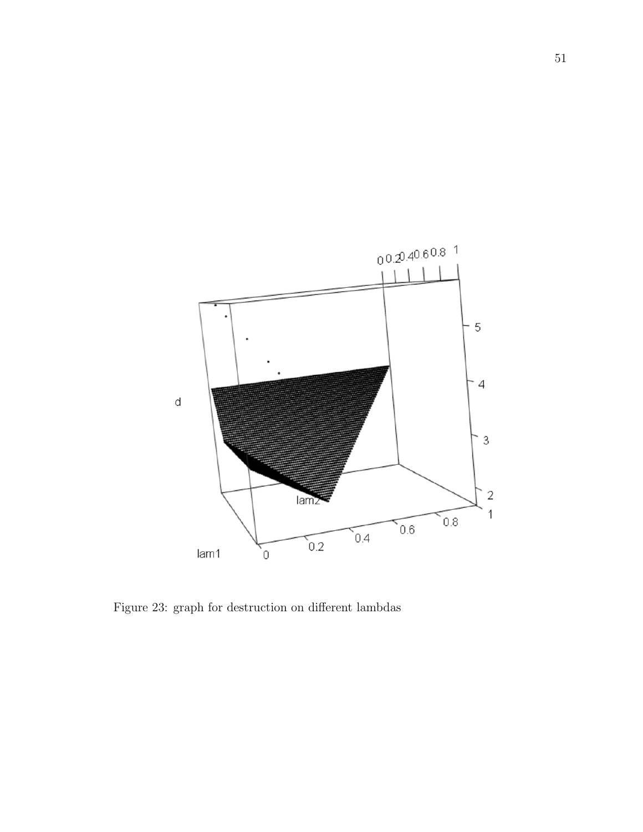

Figure 23: graph for destruction on different lambdas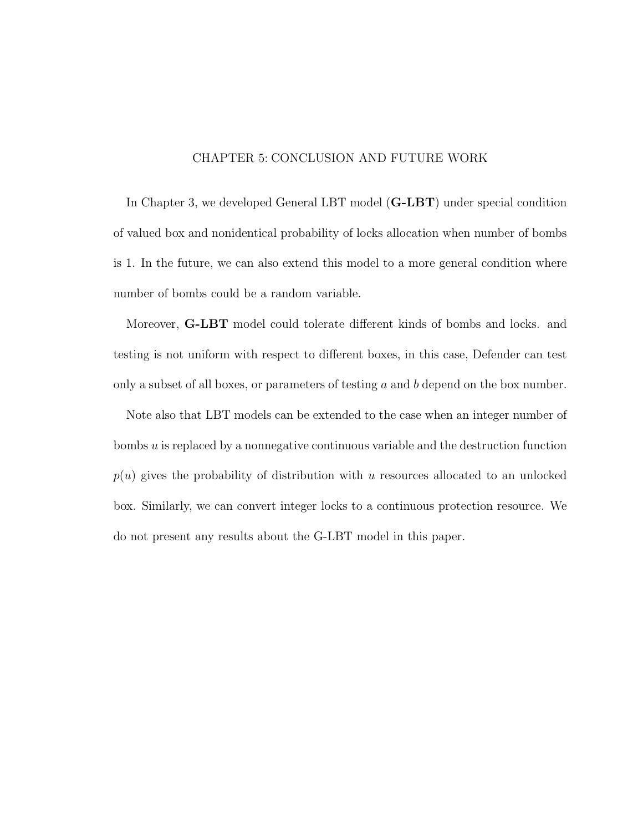## CHAPTER 5: CONCLUSION AND FUTURE WORK

In Chapter 3, we developed General LBT model (G-LBT) under special condition of valued box and nonidentical probability of locks allocation when number of bombs is 1. In the future, we can also extend this model to a more general condition where number of bombs could be a random variable.

Moreover, G-LBT model could tolerate different kinds of bombs and locks. and testing is not uniform with respect to different boxes, in this case, Defender can test only a subset of all boxes, or parameters of testing  $a$  and  $b$  depend on the box number.

Note also that LBT models can be extended to the case when an integer number of bombs u is replaced by a nonnegative continuous variable and the destruction function  $p(u)$  gives the probability of distribution with u resources allocated to an unlocked box. Similarly, we can convert integer locks to a continuous protection resource. We do not present any results about the G-LBT model in this paper.